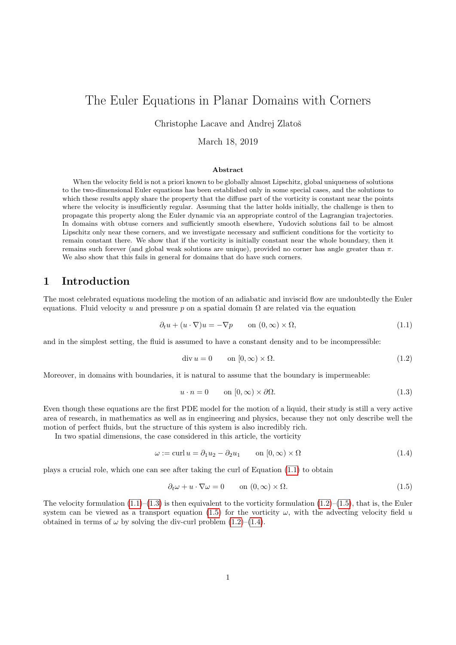# The Euler Equations in Planar Domains with Corners

Christophe Lacave and Andrej Zlatoš

March 18, 2019

#### Abstract

When the velocity field is not a priori known to be globally almost Lipschitz, global uniqueness of solutions to the two-dimensional Euler equations has been established only in some special cases, and the solutions to which these results apply share the property that the diffuse part of the vorticity is constant near the points where the velocity is insufficiently regular. Assuming that the latter holds initially, the challenge is then to propagate this property along the Euler dynamic via an appropriate control of the Lagrangian trajectories. In domains with obtuse corners and sufficiently smooth elsewhere, Yudovich solutions fail to be almost Lipschitz only near these corners, and we investigate necessary and sufficient conditions for the vorticity to remain constant there. We show that if the vorticity is initially constant near the whole boundary, then it remains such forever (and global weak solutions are unique), provided no corner has angle greater than π. We also show that this fails in general for domains that do have such corners.

## 1 Introduction

The most celebrated equations modeling the motion of an adiabatic and inviscid flow are undoubtedly the Euler equations. Fluid velocity u and pressure p on a spatial domain  $\Omega$  are related via the equation

<span id="page-0-0"></span>
$$
\partial_t u + (u \cdot \nabla)u = -\nabla p \qquad \text{on } (0, \infty) \times \Omega,
$$
\n(1.1)

and in the simplest setting, the fluid is assumed to have a constant density and to be incompressible:

<span id="page-0-2"></span>
$$
\operatorname{div} u = 0 \qquad \text{on } [0, \infty) \times \Omega. \tag{1.2}
$$

Moreover, in domains with boundaries, it is natural to assume that the boundary is impermeable:

<span id="page-0-1"></span>
$$
u \cdot n = 0 \qquad \text{on } [0, \infty) \times \partial \Omega. \tag{1.3}
$$

Even though these equations are the first PDE model for the motion of a liquid, their study is still a very active area of research, in mathematics as well as in engineering and physics, because they not only describe well the motion of perfect fluids, but the structure of this system is also incredibly rich.

In two spatial dimensions, the case considered in this article, the vorticity

<span id="page-0-4"></span>
$$
\omega := \text{curl } u = \partial_1 u_2 - \partial_2 u_1 \qquad \text{on } [0, \infty) \times \Omega \tag{1.4}
$$

plays a crucial role, which one can see after taking the curl of Equation [\(1.1\)](#page-0-0) to obtain

<span id="page-0-3"></span>
$$
\partial_t \omega + u \cdot \nabla \omega = 0 \qquad \text{on } (0, \infty) \times \Omega.
$$
\n(1.5)

The velocity formulation  $(1.1)$ – $(1.3)$  is then equivalent to the vorticity formulation  $(1.2)$ – $(1.5)$ , that is, the Euler system can be viewed as a transport equation [\(1.5\)](#page-0-3) for the vorticity  $\omega$ , with the advecting velocity field u obtained in terms of  $\omega$  by solving the div-curl problem [\(1.2\)](#page-0-2)–[\(1.4\)](#page-0-4).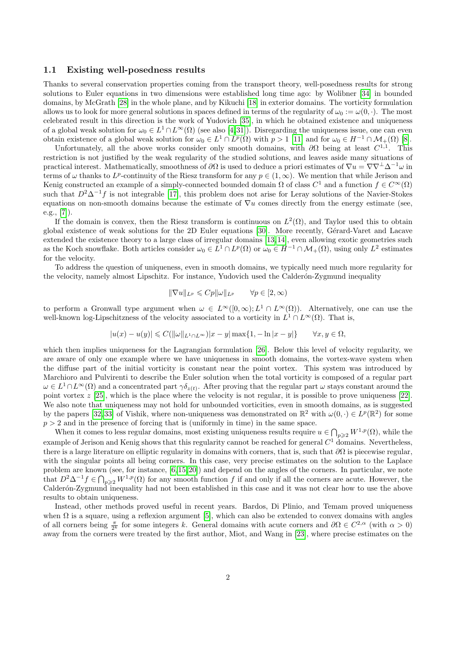### 1.1 Existing well-posedness results

Thanks to several conservation properties coming from the transport theory, well-posedness results for strong solutions to Euler equations in two dimensions were established long time ago: by Wolibner [\[34\]](#page-16-0) in bounded domains, by McGrath [\[28\]](#page-16-1) in the whole plane, and by Kikuchi [\[18\]](#page-15-0) in exterior domains. The vorticity formulation allows us to look for more general solutions in spaces defined in terms of the regularity of  $\omega_0 := \omega(0, \cdot)$ . The most celebrated result in this direction is the work of Yudovich [\[35\]](#page-16-2), in which he obtained existence and uniqueness of a global weak solution for  $\omega_0 \in L^1 \cap L^\infty(\Omega)$  (see also [\[4,](#page-14-0)[31\]](#page-16-3)). Disregarding the uniqueness issue, one can even obtain existence of a global weak solution for  $\omega_0 \in L^1 \cap L^p(\Omega)$  with  $p > 1$  [\[11\]](#page-15-1) and for  $\omega_0 \in H^{-1} \cap \mathcal{M}_+(\Omega)$  [\[8\]](#page-15-2).

Unfortunately, all the above works consider only smooth domains, with  $\partial\Omega$  being at least  $C^{1,1}$ . This restriction is not justified by the weak regularity of the studied solutions, and leaves aside many situations of practical interest. Mathematically, smoothness of  $\partial\Omega$  is used to deduce a priori estimates of  $\nabla u = \nabla \nabla^{\perp} \Delta^{-1} \omega$  in terms of  $\omega$  thanks to  $L^p$ -continuity of the Riesz transform for any  $p \in (1,\infty)$ . We mention that while Jerison and Kenig constructed an example of a simply-connected bounded domain  $\Omega$  of class  $C^1$  and a function  $f \in C^{\infty}(\Omega)$ such that  $D^2\Delta^{-1}f$  is not integrable [\[17\]](#page-15-3), this problem does not arise for Leray solutions of the Navier-Stokes equations on non-smooth domains because the estimate of  $\nabla u$  comes directly from the energy estimate (see, e.g.,  $[7]$ .

If the domain is convex, then the Riesz transform is continuous on  $L^2(\Omega)$ , and Taylor used this to obtain global existence of weak solutions for the 2D Euler equations [\[30\]](#page-16-4). More recently, Gérard-Varet and Lacave extended the existence theory to a large class of irregular domains [\[13,](#page-15-5) [14\]](#page-15-6), even allowing exotic geometries such as the Koch snowflake. Both articles consider  $\omega_0 \in L^1 \cap L^p(\Omega)$  or  $\omega_0 \in H^{-1} \cap \mathcal{M}_+(\Omega)$ , using only  $L^2$  estimates for the velocity.

To address the question of uniqueness, even in smooth domains, we typically need much more regularity for the velocity, namely almost Lipschitz. For instance, Yudovich used the Calderón-Zygmund inequality

$$
\|\nabla u\|_{L^p} \leqslant C p \|\omega\|_{L^p} \qquad \forall p \in [2, \infty)
$$

to perform a Gronwall type argument when  $\omega \in L^{\infty}([0,\infty); L^{1} \cap L^{\infty}(\Omega))$ . Alternatively, one can use the well-known log-Lipschitzness of the velocity associated to a vorticity in  $L^1 \cap L^\infty(\Omega)$ . That is,

$$
|u(x)-u(y)|\leqslant C(\|\omega\|_{L^1\cap L^\infty})|x-y|\max\{1,-\ln|x-y|\}\qquad\forall x,y\in\Omega,
$$

which then implies uniqueness for the Lagrangian formulation [\[26\]](#page-16-5). Below this level of velocity regularity, we are aware of only one example where we have uniqueness in smooth domains, the vortex-wave system when the diffuse part of the initial vorticity is constant near the point vortex. This system was introduced by Marchioro and Pulvirenti to describe the Euler solution when the total vorticity is composed of a regular part  $\omega \in L^1 \cap L^\infty(\Omega)$  and a concentrated part  $\gamma \delta_{z(t)}$ . After proving that the regular part  $\omega$  stays constant around the point vortex z [\[25\]](#page-16-6), which is the place where the velocity is not regular, it is possible to prove uniqueness [\[22\]](#page-15-7). We also note that uniqueness may not hold for unbounded vorticities, even in smooth domains, as is suggested by the papers [\[32,](#page-16-7) [33\]](#page-16-8) of Vishik, where non-uniqueness was demonstrated on  $\mathbb{R}^2$  with  $\omega(0, \cdot) \in L^p(\mathbb{R}^2)$  for some  $p > 2$  and in the presence of forcing that is (uniformly in time) in the same space.

When it comes to less regular domains, most existing uniqueness results require  $u \in \bigcap_{p\geqslant 2} W^{1,p}(\Omega)$ , while the example of Jerison and Kenig shows that this regularity cannot be reached for general  $C^1$  domains. Nevertheless, there is a large literature on elliptic regularity in domains with corners, that is, such that  $\partial\Omega$  is piecewise regular, with the singular points all being corners. In this case, very precise estimates on the solution to the Laplace problem are known (see, for instance, [\[6,](#page-15-8) [15,](#page-15-9) [20\]](#page-15-10)) and depend on the angles of the corners. In particular, we note that  $D^2\Delta^{-1}f\in\bigcap_{p\geqslant 2}W^{1,p}(\Omega)$  for any smooth function f if and only if all the corners are acute. However, the Calderón-Zygmund inequality had not been established in this case and it was not clear how to use the above results to obtain uniqueness.

Instead, other methods proved useful in recent years. Bardos, Di Plinio, and Temam proved uniqueness when  $\Omega$  is a square, using a reflexion argument [\[5\]](#page-15-11), which can also be extended to convex domains with angles of all corners being  $\frac{\pi}{2^k}$  for some integers k. General domains with acute corners and  $\partial\Omega \in C^{2,\alpha}$  (with  $\alpha > 0$ ) away from the corners were treated by the first author, Miot, and Wang in [\[23\]](#page-15-12), where precise estimates on the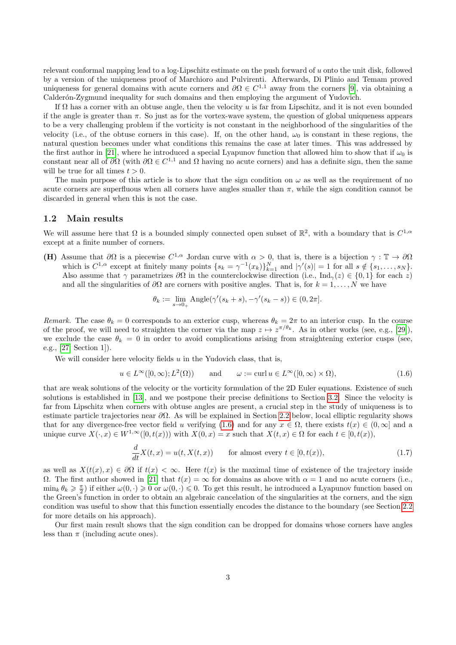relevant conformal mapping lead to a log-Lipschitz estimate on the push forward of u onto the unit disk, followed by a version of the uniqueness proof of Marchioro and Pulvirenti. Afterwards, Di Plinio and Temam proved uniqueness for general domains with acute corners and  $\partial\Omega \in C^{1,1}$  away from the corners [\[9\]](#page-15-13), via obtaining a Calderón-Zygmund inequality for such domains and then employing the argument of Yudovich.

If  $\Omega$  has a corner with an obtuse angle, then the velocity u is far from Lipschitz, and it is not even bounded if the angle is greater than  $\pi$ . So just as for the vortex-wave system, the question of global uniqueness appears to be a very challenging problem if the vorticity is not constant in the neighborhood of the singularities of the velocity (i.e., of the obtuse corners in this case). If, on the other hand,  $\omega_0$  is constant in these regions, the natural question becomes under what conditions this remains the case at later times. This was addressed by the first author in [\[21\]](#page-15-14), where he introduced a special Lyapunov function that allowed him to show that if  $\omega_0$  is constant near all of  $\partial\Omega$  (with  $\partial\Omega \in C^{1,1}$  and  $\Omega$  having no acute corners) and has a definite sign, then the same will be true for all times  $t > 0$ .

The main purpose of this article is to show that the sign condition on  $\omega$  as well as the requirement of no acute corners are superfluous when all corners have angles smaller than  $\pi$ , while the sign condition cannot be discarded in general when this is not the case.

### 1.2 Main results

We will assume here that  $\Omega$  is a bounded simply connected open subset of  $\mathbb{R}^2$ , with a boundary that is  $C^{1,\alpha}$ except at a finite number of corners.

<span id="page-2-1"></span>(H) Assume that  $\partial\Omega$  is a piecewise  $C^{1,\alpha}$  Jordan curve with  $\alpha > 0$ , that is, there is a bijection  $\gamma : \mathbb{T} \to \partial\Omega$ which is  $C^{1,\alpha}$  except at finitely many points  $\{s_k = \gamma^{-1}(x_k)\}_{k=1}^N$  and  $|\gamma'(s)| = 1$  for all  $s \notin \{s_1, \ldots, s_N\}$ . Also assume that  $\gamma$  parametrizes  $\partial\Omega$  in the counterclockwise direction (i.e., Ind<sub> $\gamma$ </sub>(z) ∈ {0, 1} for each z) and all the singularities of  $\partial\Omega$  are corners with positive angles. That is, for  $k = 1, ..., N$  we have

$$
\theta_k := \lim_{s \to 0_+} \text{Angle}(\gamma'(s_k + s), -\gamma'(s_k - s)) \in (0, 2\pi].
$$

Remark. The case  $\theta_k = 0$  corresponds to an exterior cusp, whereas  $\theta_k = 2\pi$  to an interior cusp. In the course of the proof, we will need to straighten the corner via the map  $z \mapsto z^{\pi/\theta_k}$ . As in other works (see, e.g., [\[29\]](#page-16-9)), we exclude the case  $\theta_k = 0$  in order to avoid complications arising from straightening exterior cusps (see, e.g., [\[27,](#page-16-10) Section 1]).

We will consider here velocity fields  $u$  in the Yudovich class, that is,

<span id="page-2-0"></span>
$$
u \in L^{\infty}([0,\infty);L^2(\Omega))
$$
 and  $\omega := \text{curl } u \in L^{\infty}([0,\infty) \times \Omega),$  (1.6)

that are weak solutions of the velocity or the vorticity formulation of the 2D Euler equations. Existence of such solutions is established in [\[13\]](#page-15-5), and we postpone their precise definitions to Section [3.2.](#page-7-0) Since the velocity is far from Lipschitz when corners with obtuse angles are present, a crucial step in the study of uniqueness is to estimate particle trajectories near  $\partial\Omega$ . As will be explained in Section [2.2](#page-6-0) below, local elliptic regularity shows that for any divergence-free vector field u verifying [\(1.6\)](#page-2-0) and for any  $x \in \Omega$ , there exists  $t(x) \in (0,\infty]$  and a unique curve  $X(\cdot, x) \in W^{1,\infty}([0,t(x)))$  with  $X(0,x) = x$  such that  $X(t,x) \in \Omega$  for each  $t \in [0,t(x))$ ,

<span id="page-2-2"></span>
$$
\frac{d}{dt}X(t,x) = u(t, X(t,x)) \qquad \text{for almost every } t \in [0, t(x)), \tag{1.7}
$$

as well as  $X(t(x), x) \in \partial\Omega$  if  $t(x) < \infty$ . Here  $t(x)$  is the maximal time of existence of the trajectory inside  $Ω$ . The first author showed in [\[21\]](#page-15-14) that  $t(x) = \infty$  for domains as above with  $α = 1$  and no acute corners (i.e.,  $\min_k \theta_k \geq \frac{\pi}{2}$  if either  $\omega(0, \cdot) \geq 0$  or  $\omega(0, \cdot) \leq 0$ . To get this result, he introduced a Lyapunov function based on the Green's function in order to obtain an algebraic cancelation of the singularities at the corners, and the sign condition was useful to show that this function essentially encodes the distance to the boundary (see Section [2.2](#page-6-0) for more details on his approach).

Our first main result shows that the sign condition can be dropped for domains whose corners have angles less than  $\pi$  (including acute ones).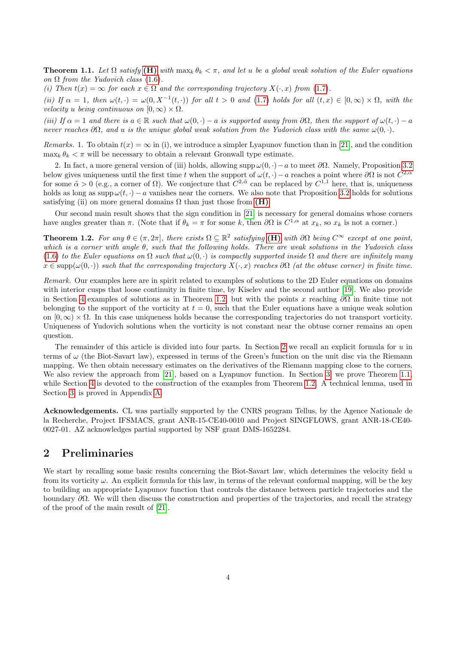<span id="page-3-2"></span>**Theorem 1.1.** Let  $\Omega$  satisfy [\(H\)](#page-2-1) with  $\max_k \theta_k < \pi$ , and let u be a global weak solution of the Euler equations on  $\Omega$  from the Yudovich class [\(1.6\)](#page-2-0).

(i) Then  $t(x) = \infty$  for each  $x \in \Omega$  and the corresponding trajectory  $X(\cdot, x)$  from [\(1.7\)](#page-2-2).

(ii) If  $\alpha = 1$ , then  $\omega(t, \cdot) = \omega(0, X^{-1}(t, \cdot))$  for all  $t > 0$  and [\(1.7\)](#page-2-2) holds for all  $(t, x) \in [0, \infty) \times \Omega$ , with the velocity u being continuous on  $[0, \infty) \times \Omega$ .

(iii) If  $\alpha = 1$  and there is  $a \in \mathbb{R}$  such that  $\omega(0, \cdot) - a$  is supported away from  $\partial\Omega$ , then the support of  $\omega(t, \cdot) - a$ never reaches  $\partial\Omega$ , and u is the unique global weak solution from the Yudovich class with the same  $\omega(0, \cdot)$ .

Remarks. 1. To obtain  $t(x) = \infty$  in (i), we introduce a simpler Lyapunov function than in [\[21\]](#page-15-14), and the condition  $\max_k \theta_k < \pi$  will be necessary to obtain a relevant Gronwall type estimate.

2. In fact, a more general version of (iii) holds, allowing supp  $\omega(0, \cdot) - a$  to meet  $\partial\Omega$ . Namely, Proposition [3.2](#page-9-0) below gives uniqueness until the first time t when the support of  $\omega(t, \cdot) - a$  reaches a point where  $\partial\Omega$  is not  $C^{2,\tilde{\alpha}}$ for some  $\tilde{\alpha} > 0$  (e.g., a corner of  $\Omega$ ). We conjecture that  $C^{2,\tilde{\alpha}}$  can be replaced by  $C^{1,1}$  here, that is, uniqueness holds as long as supp  $\omega(t, \cdot) - a$  vanishes near the corners. We also note that Proposition [3.2](#page-9-0) holds for solutions satisfying (ii) on more general domains  $\Omega$  than just those from  $(H)$ .

Our second main result shows that the sign condition in [\[21\]](#page-15-14) is necessary for general domains whose corners have angles greater than  $\pi$ . (Note that if  $\theta_k = \pi$  for some k, then  $\partial\Omega$  is  $C^{1,\alpha}$  at  $x_k$ , so  $x_k$  is not a corner.)

<span id="page-3-0"></span>**Theorem 1.2.** For any  $\theta \in (\pi, 2\pi]$ , there exists  $\Omega \subseteq \mathbb{R}^2$  satisfying [\(H\)](#page-2-1) with  $\partial\Omega$  being  $C^{\infty}$  except at one point, which is a corner with angle θ, such that the following holds. There are weak solutions in the Yudovich class [\(1.6\)](#page-2-0) to the Euler equations on  $\Omega$  such that  $\omega(0, \cdot)$  is compactly supported inside  $\Omega$  and there are infinitely many  $x \in \text{supp}(\omega(0, \cdot))$  such that the corresponding trajectory  $X(\cdot, x)$  reaches  $\partial\Omega$  (at the obtuse corner) in finite time.

Remark. Our examples here are in spirit related to examples of solutions to the 2D Euler equations on domains with interior cusps that loose continuity in finite time, by Kiselev and the second author [\[19\]](#page-15-15). We also provide in Section [4](#page-11-0) examples of solutions as in Theorem [1.2,](#page-3-0) but with the points x reaching  $\partial\Omega$  in finite time not belonging to the support of the vorticity at  $t = 0$ , such that the Euler equations have a unique weak solution on  $[0, \infty) \times \Omega$ . In this case uniqueness holds because the corresponding trajectories do not transport vorticity. Uniqueness of Yudovich solutions when the vorticity is not constant near the obtuse corner remains an open question.

The remainder of this article is divided into four parts. In Section [2](#page-3-1) we recall an explicit formula for  $u$  in terms of  $\omega$  (the Biot-Savart law), expressed in terms of the Green's function on the unit disc via the Riemann mapping. We then obtain necessary estimates on the derivatives of the Riemann mapping close to the corners. We also review the approach from [\[21\]](#page-15-14), based on a Lyapunov function. In Section [3,](#page-7-1) we prove Theorem [1.1,](#page-3-2) while Section [4](#page-11-0) is devoted to the construction of the examples from Theorem [1.2.](#page-3-0) A technical lemma, used in Section [3,](#page-7-1) is proved in Appendix [A.](#page-12-0)

Acknowledgements. CL was partially supported by the CNRS program Tellus, by the Agence Nationale de la Recherche, Project IFSMACS, grant ANR-15-CE40-0010 and Project SINGFLOWS, grant ANR-18-CE40- 0027-01. AZ acknowledges partial supported by NSF grant DMS-1652284.

## <span id="page-3-1"></span>2 Preliminaries

We start by recalling some basic results concerning the Biot-Savart law, which determines the velocity field  $u$ from its vorticity  $\omega$ . An explicit formula for this law, in terms of the relevant conformal mapping, will be the key to building an appropriate Lyapunov function that controls the distance between particle trajectories and the boundary  $\partial\Omega$ . We will then discuss the construction and properties of the trajectories, and recall the strategy of the proof of the main result of [\[21\]](#page-15-14).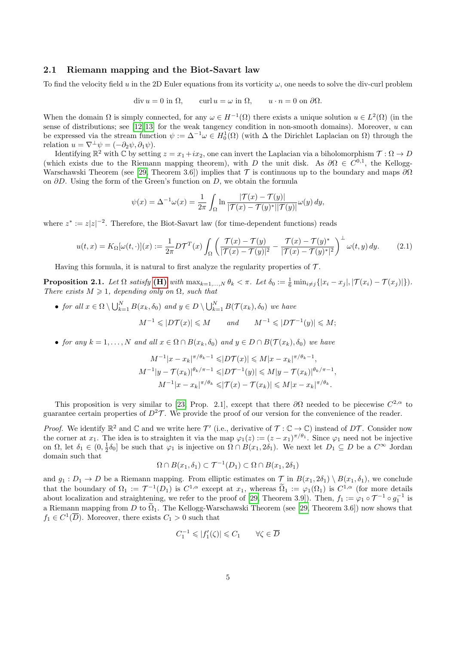### 2.1 Riemann mapping and the Biot-Savart law

To find the velocity field u in the 2D Euler equations from its vorticity  $\omega$ , one needs to solve the div-curl problem

$$
\operatorname{div} u = 0 \text{ in } \Omega, \qquad \operatorname{curl} u = \omega \text{ in } \Omega, \qquad u \cdot n = 0 \text{ on } \partial \Omega.
$$

When the domain  $\Omega$  is simply connected, for any  $\omega \in H^{-1}(\Omega)$  there exists a unique solution  $u \in L^2(\Omega)$  (in the sense of distributions; see [\[12,](#page-15-16) [13\]](#page-15-5) for the weak tangency condition in non-smooth domains). Moreover,  $u$  can be expressed via the stream function  $\psi := \Delta^{-1}\omega \in H_0^1(\Omega)$  (with  $\Delta$  the Dirichlet Laplacian on  $\Omega$ ) through the relation  $u = \nabla^{\perp} \psi = (-\partial_2 \psi, \partial_1 \psi).$ 

Identifying  $\mathbb{R}^2$  with  $\mathbb C$  by setting  $z = x_1 + ix_2$ , one can invert the Laplacian via a biholomorphism  $\mathcal T: \Omega \to D$ (which exists due to the Riemann mapping theorem), with D the unit disk. As  $\partial\Omega \in C^{0,1}$ , the Kellogg-Warschawski Theorem (see [\[29,](#page-16-9) Theorem 3.6]) implies that  $\mathcal T$  is continuous up to the boundary and maps  $\partial\Omega$ on ∂D. Using the form of the Green's function on D, we obtain the formula

$$
\psi(x) = \Delta^{-1}\omega(x) = \frac{1}{2\pi} \int_{\Omega} \ln \frac{|\mathcal{T}(x) - \mathcal{T}(y)|}{|\mathcal{T}(x) - \mathcal{T}(y)^*||\mathcal{T}(y)|} \omega(y) dy,
$$

where  $z^* := z|z|^{-2}$ . Therefore, the Biot-Savart law (for time-dependent functions) reads

<span id="page-4-0"></span>
$$
u(t,x) = K_{\Omega}[\omega(t,\cdot)](x) := \frac{1}{2\pi}D\mathcal{T}^T(x)\int_{\Omega} \left(\frac{\mathcal{T}(x) - \mathcal{T}(y)}{|\mathcal{T}(x) - \mathcal{T}(y)|^2} - \frac{\mathcal{T}(x) - \mathcal{T}(y)^*}{|\mathcal{T}(x) - \mathcal{T}(y)|^2}\right)^{\perp} \omega(t,y) dy.
$$
 (2.1)

Having this formula, it is natural to first analyze the regularity properties of  $\mathcal{T}$ .

<span id="page-4-1"></span>**Proposition 2.1.** Let  $\Omega$  satisfy (**H**) with  $\max_{k=1,\dots,N} \theta_k < \pi$ . Let  $\delta_0 := \frac{1}{6} \min_{i \neq j} \{|x_i - x_j|, |\mathcal{T}(x_i) - \mathcal{T}(x_j)|\}$ . There exists  $M \geq 1$ , depending only on  $\Omega$ , such that

• for all  $x \in \Omega \setminus \bigcup_{k=1}^N B(x_k, \delta_0)$  and  $y \in D \setminus \bigcup_{k=1}^N B(\mathcal{T}(x_k), \delta_0)$  we have  $M^{-1} \leqslant |D\mathcal{T}(x)| \leqslant M$  and  $M^{-1} \leqslant |D\mathcal{T}^{-1}(y)| \leqslant M;$ 

• for any  $k = 1, ..., N$  and all  $x \in \Omega \cap B(x_k, \delta_0)$  and  $y \in D \cap B(\mathcal{T}(x_k), \delta_0)$  we have

$$
M^{-1}|x - x_k|^{\pi/\theta_k - 1} \leq |D\mathcal{T}(x)| \leq M|x - x_k|^{\pi/\theta_k - 1},
$$
  
\n
$$
M^{-1}|y - \mathcal{T}(x_k)|^{\theta_k/\pi - 1} \leq |D\mathcal{T}^{-1}(y)| \leq M|y - \mathcal{T}(x_k)|^{\theta_k/\pi - 1},
$$
  
\n
$$
M^{-1}|x - x_k|^{\pi/\theta_k} \leq |\mathcal{T}(x) - \mathcal{T}(x_k)| \leq M|x - x_k|^{\pi/\theta_k}.
$$

This proposition is very similar to [\[23,](#page-15-12) Prop. 2.1], except that there  $\partial\Omega$  needed to be piecewise  $C^{2,\alpha}$  to guarantee certain properties of  $D^2\mathcal{T}$ . We provide the proof of our version for the convenience of the reader.

*Proof.* We identify  $\mathbb{R}^2$  and  $\mathbb C$  and we write here  $\mathcal T'$  (i.e., derivative of  $\mathcal T: \mathbb C \to \mathbb C$ ) instead of  $D\mathcal T$ . Consider now the corner at  $x_1$ . The idea is to straighten it via the map  $\varphi_1(z) := (z - x_1)^{\pi/\theta_1}$ . Since  $\varphi_1$  need not be injective on  $\Omega$ , let  $\delta_1 \in (0, \frac{1}{2}\delta_0]$  be such that  $\varphi_1$  is injective on  $\Omega \cap B(x_1, 2\delta_1)$ . We next let  $D_1 \subseteq D$  be a  $C^{\infty}$  Jordan domain such that

$$
\Omega \cap B(x_1, \delta_1) \subset \mathcal{T}^{-1}(D_1) \subset \Omega \cap B(x_1, 2\delta_1)
$$

and  $g_1 : D_1 \to D$  be a Riemann mapping. From elliptic estimates on  $\mathcal T$  in  $B(x_1, 2\delta_1) \setminus B(x_1, \delta_1)$ , we conclude that the boundary of  $\Omega_1 := \mathcal{T}^{-1}(D_1)$  is  $C^{1,\alpha}$  except at  $x_1$ , whereas  $\widetilde{\Omega}_1 := \varphi_1(\Omega_1)$  is  $C^{1,\alpha}$  (for more details about localization and straightening, we refer to the proof of [\[29,](#page-16-9) Theorem 3.9]). Then,  $f_1 := \varphi_1 \circ \mathcal{T}^{-1} \circ g_1^{-1}$  is a Riemann mapping from D to  $\tilde{\Omega}_1$ . The Kellogg-Warschawski Theorem (see [\[29,](#page-16-9) Theorem 3.6]) now shows that  $f_1 \in C^1(\overline{D})$ . Moreover, there exists  $C_1 > 0$  such that

$$
C_1^{-1} \leqslant |f_1'(\zeta)| \leqslant C_1 \qquad \forall \zeta \in \overline{D}
$$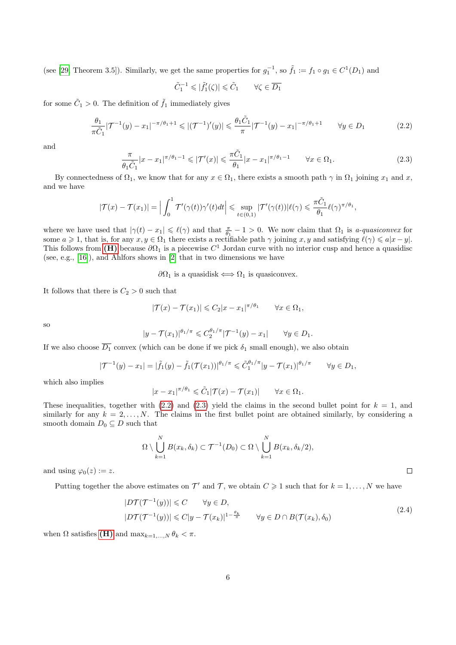(see [\[29,](#page-16-9) Theorem 3.5]). Similarly, we get the same properties for  $g_1^{-1}$ , so  $\tilde{f}_1 := f_1 \circ g_1 \in C^1(D_1)$  and

$$
\tilde{C}_1^{-1}\leqslant |\tilde{f}_1'(\zeta)|\leqslant \tilde{C}_1 \qquad \forall \zeta\in \overline{D_1}
$$

for some  $\tilde{C}_1 > 0$ . The definition of  $\tilde{f}_1$  immediately gives

<span id="page-5-0"></span>
$$
\frac{\theta_1}{\pi \tilde{C}_1} |\mathcal{T}^{-1}(y) - x_1|^{-\pi/\theta_1 + 1} \le |(\mathcal{T}^{-1})'(y)| \le \frac{\theta_1 \tilde{C}_1}{\pi} |\mathcal{T}^{-1}(y) - x_1|^{-\pi/\theta_1 + 1} \qquad \forall y \in D_1
$$
\n(2.2)

and

<span id="page-5-1"></span>
$$
\frac{\pi}{\theta_1 \tilde{C}_1} |x - x_1|^{\pi/\theta_1 - 1} \leqslant |\mathcal{T}'(x)| \leqslant \frac{\pi \tilde{C}_1}{\theta_1} |x - x_1|^{\pi/\theta_1 - 1} \qquad \forall x \in \Omega_1.
$$
\n
$$
(2.3)
$$

By connectedness of  $\Omega_1$ , we know that for any  $x \in \Omega_1$ , there exists a smooth path  $\gamma$  in  $\Omega_1$  joining  $x_1$  and  $x$ , and we have

$$
|\mathcal{T}(x) - \mathcal{T}(x_1)| = \Big| \int_0^1 \mathcal{T}'(\gamma(t))\gamma'(t)dt \Big| \leq \sup_{t \in (0,1)} |\mathcal{T}'(\gamma(t))| \ell(\gamma) \leq \frac{\pi \tilde{C}_1}{\theta_1} \ell(\gamma)^{\pi/\theta_1},
$$

where we have used that  $|\gamma(t) - x_1| \leq \ell(\gamma)$  and that  $\frac{\pi}{\theta_1} - 1 > 0$ . We now claim that  $\Omega_1$  is *a-quasiconvex* for some  $a \geq 1$ , that is, for any  $x, y \in \Omega_1$  there exists a rectifiable path  $\gamma$  joining  $x, y$  and satisfying  $\ell(\gamma) \leq a|x-y|$ . This follows from [\(H\)](#page-2-1) because  $\partial\Omega_1$  is a piecewise  $C^1$  Jordan curve with no interior cusp and hence a quasidisc (see, e.g., [\[16\]](#page-15-17)), and Ahlfors shows in [\[2\]](#page-14-1) that in two dimensions we have

 $\partial\Omega_1$  is a quasidisk  $\Longleftrightarrow \Omega_1$  is quasiconvex.

It follows that there is  $C_2>0$  such that

$$
|\mathcal{T}(x) - \mathcal{T}(x_1)| \leq C_2 |x - x_1|^{\pi/\theta_1} \qquad \forall x \in \Omega_1,
$$

so

$$
|y - \mathcal{T}(x_1)|^{\theta_1/\pi} \leq C_2^{\theta_1/\pi} |\mathcal{T}^{-1}(y) - x_1| \qquad \forall y \in D_1.
$$

If we also choose  $\overline{D_1}$  convex (which can be done if we pick  $\delta_1$  small enough), we also obtain

$$
|\mathcal{T}^{-1}(y) - x_1| = |\tilde{f}_1(y) - \tilde{f}_1(\mathcal{T}(x_1))|^{\theta_1/\pi} \leq \tilde{C}_1^{\theta_1/\pi} |y - \mathcal{T}(x_1)|^{\theta_1/\pi} \qquad \forall y \in D_1,
$$

which also implies

$$
|x - x_1|^{\pi/\theta_1} \leq \tilde{C}_1 |\mathcal{T}(x) - \mathcal{T}(x_1)| \qquad \forall x \in \Omega_1.
$$

These inequalities, together with [\(2.2\)](#page-5-0) and [\(2.3\)](#page-5-1) yield the claims in the second bullet point for  $k = 1$ , and similarly for any  $k = 2, \ldots, N$ . The claims in the first bullet point are obtained similarly, by considering a smooth domain  $D_0 \subseteq D$  such that

$$
\Omega \setminus \bigcup_{k=1}^N B(x_k, \delta_k) \subset \mathcal{T}^{-1}(D_0) \subset \Omega \setminus \bigcup_{k=1}^N B(x_k, \delta_k/2),
$$

and using  $\varphi_0(z) := z$ .

<span id="page-5-2"></span>Putting together the above estimates on  $\mathcal{T}'$  and  $\mathcal{T}$ , we obtain  $C \geq 1$  such that for  $k = 1, ..., N$  we have

$$
|D\mathcal{T}(\mathcal{T}^{-1}(y))| \leq C \qquad \forall y \in D,
$$
  

$$
|D\mathcal{T}(\mathcal{T}^{-1}(y))| \leq C|y - \mathcal{T}(x_k)|^{1 - \frac{\theta_k}{\pi}} \qquad \forall y \in D \cap B(\mathcal{T}(x_k), \delta_0)
$$
 (2.4)

when  $\Omega$  satisfies (**H**) and  $\max_{k=1,\ldots,N} \theta_k < \pi$ .

 $\Box$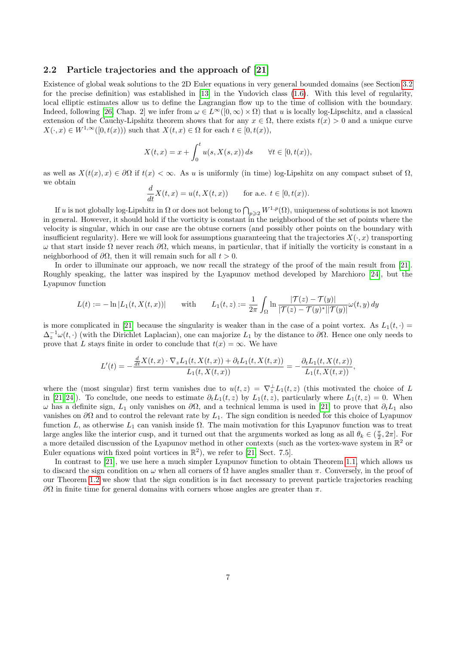### <span id="page-6-0"></span>2.2 Particle trajectories and the approach of [\[21\]](#page-15-14)

Existence of global weak solutions to the 2D Euler equations in very general bounded domains (see Section [3.2](#page-7-0) for the precise definition) was established in [\[13\]](#page-15-5) in the Yudovich class [\(1.6\)](#page-2-0). With this level of regularity, local elliptic estimates allow us to define the Lagrangian flow up to the time of collision with the boundary. Indeed, following [\[26,](#page-16-5) Chap. 2] we infer from  $\omega \in L^{\infty}([0,\infty) \times \Omega)$  that u is locally log-Lipschitz, and a classical extension of the Cauchy-Lipshitz theorem shows that for any  $x \in \Omega$ , there exists  $t(x) > 0$  and a unique curve  $X(\cdot, x) \in W^{1,\infty}([0,t(x)))$  such that  $X(t, x) \in \Omega$  for each  $t \in [0,t(x)),$ 

$$
X(t,x) = x + \int_0^t u(s, X(s,x)) ds \quad \forall t \in [0, t(x)),
$$

as well as  $X(t(x), x) \in \partial\Omega$  if  $t(x) < \infty$ . As u is uniformly (in time) log-Lipshitz on any compact subset of  $\Omega$ , we obtain

$$
\frac{d}{dt}X(t,x) = u(t, X(t,x)) \quad \text{for a.e. } t \in [0, t(x)).
$$

If u is not globally log-Lipshitz in  $\Omega$  or does not belong to  $\bigcap_{p\geqslant 2}W^{1,p}(\Omega)$ , uniqueness of solutions is not known in general. However, it should hold if the vorticity is constant in the neighborhood of the set of points where the velocity is singular, which in our case are the obtuse corners (and possibly other points on the boundary with insufficient regularity). Here we will look for assumptions guaranteeing that the trajectories  $X(\cdot, x)$  transporting  $ω$  that start inside Ω never reach  $\partial\Omega$ , which means, in particular, that if initially the vorticity is constant in a neighborhood of  $\partial\Omega$ , then it will remain such for all  $t > 0$ .

In order to illuminate our approach, we now recall the strategy of the proof of the main result from [\[21\]](#page-15-14). Roughly speaking, the latter was inspired by the Lyapunov method developed by Marchioro [\[24\]](#page-16-11), but the Lyapunov function

$$
L(t) := -\ln|L_1(t, X(t, x))| \quad \text{with} \quad L_1(t, z) := \frac{1}{2\pi} \int_{\Omega} \ln \frac{|\mathcal{T}(z) - \mathcal{T}(y)|}{|\mathcal{T}(z) - \mathcal{T}(y)^*| |\mathcal{T}(y)|} \omega(t, y) dy
$$

is more complicated in [\[21\]](#page-15-14) because the singularity is weaker than in the case of a point vortex. As  $L_1(t, \cdot)$  =  $\Delta_z^{-1}\omega(t,\cdot)$  (with the Dirichlet Laplacian), one can majorize  $L_1$  by the distance to  $\partial\Omega$ . Hence one only needs to prove that L stays finite in order to conclude that  $t(x) = \infty$ . We have

$$
L'(t) = -\frac{\frac{d}{dt}X(t,x) \cdot \nabla_z L_1(t,X(t,x)) + \partial_t L_1(t,X(t,x))}{L_1(t,X(t,x))} = -\frac{\partial_t L_1(t,X(t,x))}{L_1(t,X(t,x))},
$$

where the (most singular) first term vanishes due to  $u(t, z) = \nabla_z^{\perp} L_1(t, z)$  (this motivated the choice of L in [\[21,](#page-15-14) [24\]](#page-16-11)). To conclude, one needs to estimate  $\partial_t L_1(t, z)$  by  $L_1(t, z)$ , particularly where  $L_1(t, z) = 0$ . When  $ω$  has a definite sign,  $L_1$  only vanishes on  $\partial\Omega$ , and a technical lemma is used in [\[21\]](#page-15-14) to prove that  $\partial_t L_1$  also vanishes on  $\partial\Omega$  and to control the relevant rate by  $L_1$ . The sign condition is needed for this choice of Lyapunov function L, as otherwise  $L_1$  can vanish inside  $\Omega$ . The main motivation for this Lyapunov function was to treat large angles like the interior cusp, and it turned out that the arguments worked as long as all  $\theta_k \in (\frac{\pi}{2}, 2\pi]$ . For a more detailed discussion of the Lyapunov method in other contexts (such as the vortex-wave system in  $\mathbb{R}^2$  or Euler equations with fixed point vortices in  $\mathbb{R}^2$ ), we refer to [\[21,](#page-15-14) Sect. 7.5].

In contrast to [\[21\]](#page-15-14), we use here a much simpler Lyapunov function to obtain Theorem [1.1,](#page-3-2) which allows us to discard the sign condition on  $\omega$  when all corners of  $\Omega$  have angles smaller than  $\pi$ . Conversely, in the proof of our Theorem [1.2](#page-3-0) we show that the sign condition is in fact necessary to prevent particle trajectories reaching  $\partial Ω$  in finite time for general domains with corners whose angles are greater than π.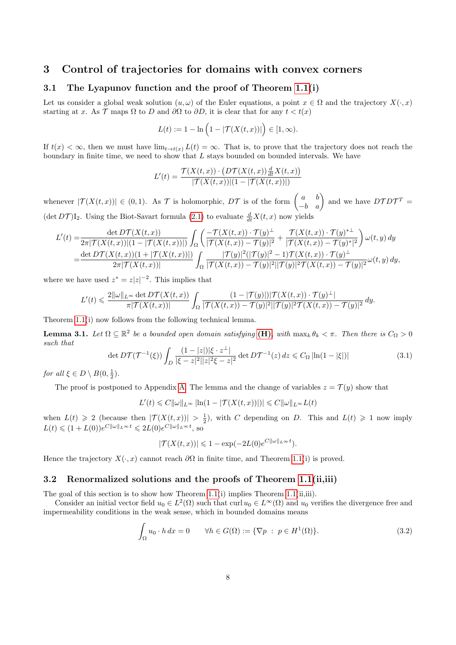### <span id="page-7-1"></span>3 Control of trajectories for domains with convex corners

### 3.1 The Lyapunov function and the proof of Theorem [1.1\(](#page-3-2)i)

Let us consider a global weak solution  $(u, \omega)$  of the Euler equations, a point  $x \in \Omega$  and the trajectory  $X(\cdot, x)$ starting at x. As T maps  $\Omega$  to D and  $\partial\Omega$  to  $\partial D$ , it is clear that for any  $t < t(x)$ 

$$
L(t) := 1 - \ln (1 - |\mathcal{T}(X(t, x))|) \in [1, \infty).
$$

If  $t(x) < \infty$ , then we must have  $\lim_{t \to t(x)} L(t) = \infty$ . That is, to prove that the trajectory does not reach the boundary in finite time, we need to show that L stays bounded on bounded intervals. We have

$$
L'(t) = \frac{\mathcal{T}(X(t,x)) \cdot \left(D\mathcal{T}(X(t,x))\frac{d}{dt}X(t,x)\right)}{|\mathcal{T}(X(t,x))|(1 - |\mathcal{T}(X(t,x))|)}
$$

whenever  $|\mathcal{T}(X(t,x))| \in (0,1)$ . As T is holomorphic, DT is of the form  $\begin{pmatrix} a & b \\ -b & a \end{pmatrix}$  and we have  $DTDT^T =$  $(\det DT)I_2$ . Using the Biot-Savart formula [\(2.1\)](#page-4-0) to evaluate  $\frac{d}{dt}X(t,x)$  now yields

$$
L'(t) = \frac{\det DT(X(t,x))}{2\pi |T(X(t,x))|(1 - |T(X(t,x))|)} \int_{\Omega} \left( \frac{-\mathcal{T}(X(t,x)) \cdot \mathcal{T}(y)^{\perp}}{|T(X(t,x)) - \mathcal{T}(y)|^2} + \frac{\mathcal{T}(X(t,x)) \cdot \mathcal{T}(y)^{\perp}}{|T(X(t,x)) - \mathcal{T}(y)^{\perp}|^2} \right) \omega(t,y) dy
$$
  
= 
$$
\frac{\det DT(X(t,x))(1 + |T(X(t,x))|)}{2\pi |T(X(t,x))|} \int_{\Omega} \frac{|T(y)|^2 (|T(y)|^2 - 1) \mathcal{T}(X(t,x)) \cdot \mathcal{T}(y)^{\perp}}{|T(X(t,x)) - \mathcal{T}(y)|^2 |T(y)|^2 \mathcal{T}(X(t,x)) - \mathcal{T}(y)|^2} \omega(t,y) dy,
$$

where we have used  $z^* = z|z|^{-2}$ . This implies that

$$
L'(t) \leqslant \frac{2\|\omega\|_{L^\infty}\det D\mathcal{T}(X(t,x))}{\pi|\mathcal{T}(X(t,x))|} \int_{\Omega} \frac{(1-|\mathcal{T}(y)|)|\mathcal{T}(X(t,x))\cdot \mathcal{T}(y)^{\perp}|}{|\mathcal{T}(X(t,x))-\mathcal{T}(y)|^2||\mathcal{T}(y)|^2\mathcal{T}(X(t,x))-\mathcal{T}(y)|^2} dy.
$$

Theorem [1.1\(](#page-3-2)i) now follows from the following technical lemma.

<span id="page-7-3"></span>**Lemma 3.1.** Let  $\Omega \subseteq \mathbb{R}^2$  be a bounded open domain satisfying  $(H)$ , with  $\max_k \theta_k < \pi$ . Then there is  $C_{\Omega} > 0$ such that

<span id="page-7-4"></span>
$$
\det DT(\mathcal{T}^{-1}(\xi)) \int_D \frac{(1-|z|)|\xi \cdot z^\perp|}{|\xi - z|^2| |z|^2 \xi - z|^2} \det D\mathcal{T}^{-1}(z) \, dz \leq C_\Omega \left| \ln(1 - |\xi|) \right| \tag{3.1}
$$

for all  $\xi \in D \setminus B(0, \frac{1}{2})$ .

The proof is postponed to Appendix [A.](#page-12-0) The lemma and the change of variables  $z = \mathcal{T}(y)$  show that

$$
L'(t) \leqslant C \|\omega\|_{L^\infty} \left|\ln(1-|\mathcal{T}(X(t,x))|)\right| \leqslant C \|\omega\|_{L^\infty} L(t)
$$

when  $L(t) \geq 2$  (because then  $|\mathcal{T}(X(t,x))| > \frac{1}{2}$ ), with C depending on D. This and  $L(t) \geq 1$  now imply  $L(t) \leq (1 + L(0))e^{C||\omega||_{L^{\infty}}} t \leq 2L(0)e^{C||\omega||_{L^{\infty}}} t$ , so

$$
|\mathcal{T}(X(t,x))| \leq 1 - \exp(-2L(0)e^{C||\omega||_{L^{\infty}}t}).
$$

Hence the trajectory  $X(\cdot, x)$  cannot reach  $\partial\Omega$  in finite time, and Theorem [1.1\(](#page-3-2)i) is proved.

### <span id="page-7-0"></span>3.2 Renormalized solutions and the proofs of Theorem [1.1\(](#page-3-2)ii,iii)

The goal of this section is to show how Theorem [1.1\(](#page-3-2)i) implies Theorem [1.1\(](#page-3-2)ii,iii).

Consider an initial vector field  $u_0 \in L^2(\Omega)$  such that curl  $u_0 \in L^{\infty}(\Omega)$  and  $u_0$  verifies the divergence free and impermeability conditions in the weak sense, which in bounded domains means

<span id="page-7-2"></span>
$$
\int_{\Omega} u_0 \cdot h \, dx = 0 \qquad \forall h \in G(\Omega) := \{ \nabla p \; : \; p \in H^1(\Omega) \}. \tag{3.2}
$$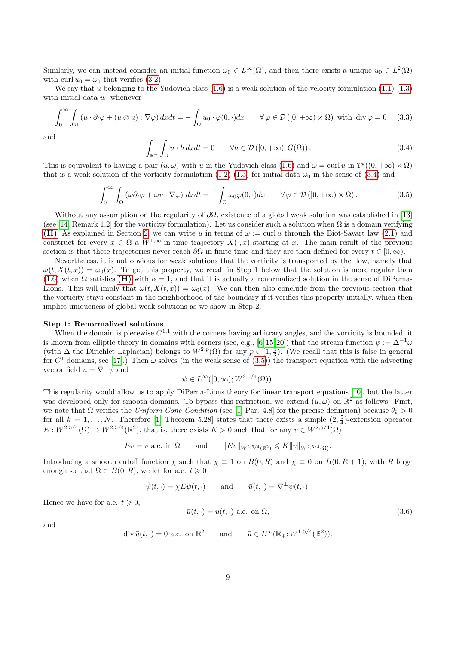Similarly, we can instead consider an initial function  $\omega_0 \in L^{\infty}(\Omega)$ , and then there exists a unique  $u_0 \in L^2(\Omega)$ with curl  $u_0 = \omega_0$  that verifies [\(3.2\)](#page-7-2).

We say that u belonging to the Yudovich class  $(1.6)$  is a weak solution of the velocity formulation  $(1.1)-(1.3)$  $(1.1)-(1.3)$ with initial data  $u_0$  whenever

$$
\int_0^\infty \int_{\Omega} \left( u \cdot \partial_t \varphi + (u \otimes u) : \nabla \varphi \right) dx dt = - \int_{\Omega} u_0 \cdot \varphi(0, \cdot) dx \qquad \forall \varphi \in \mathcal{D}([0, +\infty) \times \Omega) \text{ with } \text{div } \varphi = 0 \quad (3.3)
$$

and

<span id="page-8-0"></span>
$$
\int_{\mathbb{R}^+} \int_{\Omega} u \cdot h \, dx dt = 0 \qquad \forall h \in \mathcal{D}([0, +\infty); G(\Omega)). \tag{3.4}
$$

This is equivalent to having a pair  $(u, \omega)$  with u in the Yudovich class [\(1.6\)](#page-2-0) and  $\omega = \text{curl } u$  in  $\mathcal{D}'((0, +\infty) \times \Omega)$ that is a weak solution of the vorticity formulation [\(1.2\)](#page-0-2)-[\(1.5\)](#page-0-3) for initial data  $\omega_0$  in the sense of [\(3.4\)](#page-8-0) and

<span id="page-8-1"></span>
$$
\int_0^\infty \int_{\Omega} \left( \omega \partial_t \varphi + \omega u \cdot \nabla \varphi \right) dx dt = - \int_{\Omega} \omega_0 \varphi(0, \cdot) dx \qquad \forall \varphi \in \mathcal{D}([0, +\infty) \times \Omega).
$$
 (3.5)

Without any assumption on the regularity of  $\partial\Omega$ , existence of a global weak solution was established in [\[13\]](#page-15-5) (see [\[14,](#page-15-6) Remark 1.2] for the vorticity formulation). Let us consider such a solution when  $\Omega$  is a domain verifying [\(H\)](#page-2-1). As explained in Section [2,](#page-3-1) we can write u in terms of  $\omega := \text{curl } u$  through the Biot-Savart law [\(2.1\)](#page-4-0) and construct for every  $x \in \Omega$  a  $W^{1,\infty}$ -in-time trajectory  $X(\cdot,x)$  starting at x. The main result of the previous section is that these trajectories never reach  $\partial\Omega$  in finite time and they are then defined for every  $t \in [0,\infty)$ .

Nevertheless, it is not obvious for weak solutions that the vorticity is transported by the flow, namely that  $\omega(t, X(t, x)) = \omega_0(x)$ . To get this property, we recall in Step 1 below that the solution is more regular than [\(1.6\)](#page-2-0) when  $\Omega$  satisfies [\(H\)](#page-2-1) with  $\alpha = 1$ , and that it is actually a renormalized solution in the sense of DiPerna-Lions. This will imply that  $\omega(t, X(t, x)) = \omega_0(x)$ . We can then also conclude from the previous section that the vorticity stays constant in the neighborhood of the boundary if it verifies this property initially, which then implies uniqueness of global weak solutions as we show in Step 2.

#### Step 1: Renormalized solutions

When the domain is piecewise  $C^{1,1}$  with the corners having arbitrary angles, and the vorticity is bounded, it is known from elliptic theory in domains with corners (see, e.g., [\[6,](#page-15-8)15,20]) that the stream function  $\psi := \Delta^{-1}\omega$ (with  $\Delta$  the Dirichlet Laplacian) belongs to  $W^{2,p}(\Omega)$  for any  $p \in [1, \frac{4}{3})$ . (We recall that this is false in general for  $C^1$  domains, see [\[17\]](#page-15-3).) Then  $\omega$  solves (in the weak sense of [\(3.5\)](#page-8-1)) the transport equation with the advecting vector field  $u = \nabla^{\perp} \psi$  and

$$
\psi \in L^{\infty}([0,\infty);W^{2,5/4}(\Omega)).
$$

This regularity would allow us to apply DiPerna-Lions theory for linear transport equations [\[10\]](#page-15-18), but the latter was developed only for smooth domains. To bypass this restriction, we extend  $(u, \omega)$  on  $\mathbb{R}^2$  as follows. First, we note that  $\Omega$  verifies the Uniform Cone Condition (see [\[1,](#page-14-2) Par. 4.8] for the precise definition) because  $\theta_k > 0$ for all  $k = 1, ..., N$ . Therefore [\[1,](#page-14-2) Theorem 5.28] states that there exists a simple  $(2, \frac{5}{4})$ -extension operator  $E: W^{2,5/4}(\Omega) \to W^{2,5/4}(\mathbb{R}^2)$ , that is, there exists  $K > 0$  such that for any  $v \in W^{2,5/4}(\Omega)$ 

$$
Ev = v
$$
 a.e. in  $\Omega$  and  $||Ev||_{W^{2,5/4}(\mathbb{R}^2)} \le K||v||_{W^{2,5/4}(\Omega)}$ .

Introducing a smooth cutoff function  $\chi$  such that  $\chi \equiv 1$  on  $B(0, R)$  and  $\chi \equiv 0$  on  $B(0, R + 1)$ , with R large enough so that  $\Omega \subset B(0, R)$ , we let for a.e.  $t \geq 0$ 

$$
\bar{\psi}(t, \cdot) = \chi E \psi(t, \cdot)
$$
 and  $\bar{u}(t, \cdot) = \nabla^{\perp} \bar{\psi}(t, \cdot).$ 

Hence we have for a.e.  $t \geqslant 0$ ,

<span id="page-8-2"></span>
$$
\bar{u}(t, \cdot) = u(t, \cdot) \text{ a.e. on } \Omega,
$$
\n(3.6)

and

$$
\operatorname{div} \bar{u}(t, \cdot) = 0 \text{ a.e. on } \mathbb{R}^2 \quad \text{and} \quad \bar{u} \in L^{\infty}(\mathbb{R}_+; W^{1,5/4}(\mathbb{R}^2)).
$$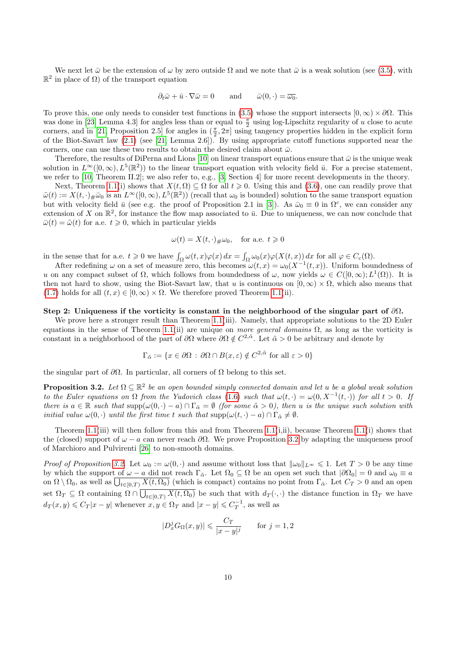We next let  $\bar{\omega}$  be the extension of  $\omega$  by zero outside  $\Omega$  and we note that  $\bar{\omega}$  is a weak solution (see [\(3.5\)](#page-8-1), with  $\mathbb{R}^2$  in place of  $\Omega$ ) of the transport equation

$$
\partial_t \bar{\omega} + \bar{u} \cdot \nabla \bar{\omega} = 0
$$
 and  $\bar{\omega}(0, \cdot) = \overline{\omega_0}$ .

To prove this, one only needs to consider test functions in [\(3.5\)](#page-8-1) whose the support intersects  $[0, \infty) \times \partial\Omega$ . This was done in [\[23,](#page-15-12) Lemma 4.3] for angles less than or equal to  $\frac{\pi}{2}$  using log-Lipschitz regularity of u close to acute corners, and in [\[21,](#page-15-14) Proposition 2.5] for angles in  $(\frac{\pi}{2}, 2\pi]$  using tangency properties hidden in the explicit form of the Biot-Savart law [\(2.1\)](#page-4-0) (see [\[21,](#page-15-14) Lemma 2.6]). By using appropriate cutoff functions supported near the corners, one can use these two results to obtain the desired claim about  $\bar{\omega}$ .

Therefore, the results of DiPerna and Lions [\[10\]](#page-15-18) on linear transport equations ensure that  $\bar{\omega}$  is the unique weak solution in  $L^{\infty}([0,\infty), L^{5}(\mathbb{R}^{2}))$  to the linear transport equation with velocity field  $\bar{u}$ . For a precise statement, we refer to [\[10,](#page-15-18) Theorem II.2]; we also refer to, e.g., [\[3,](#page-14-3) Section 4] for more recent developments in the theory.

Next, Theorem [1.1\(](#page-3-2)i) shows that  $X(t, \Omega) \subseteq \Omega$  for all  $t \geq 0$ . Using this and [\(3.6\)](#page-8-2), one can readily prove that  $\tilde{\omega}(t) := X(t, \cdot)_{\#} \bar{\omega}_0$  is an  $L^{\infty}([0, \infty), L^5(\mathbb{R}^2))$  (recall that  $\omega_0$  is bounded) solution to the same transport equation but with velocity field  $\bar{u}$  (see e.g. the proof of Proposition 2.1 in [\[3\]](#page-14-3)). As  $\bar{\omega}_0 \equiv 0$  in  $\Omega^c$ , we can consider any extension of X on  $\mathbb{R}^2$ , for instance the flow map associated to  $\bar{u}$ . Due to uniqueness, we can now conclude that  $\bar{\omega}(t) = \tilde{\omega}(t)$  for a.e.  $t \geq 0$ , which in particular yields

$$
\omega(t) = X(t, \cdot)_{\#}\omega_0, \quad \text{for a.e. } t \geq 0
$$

in the sense that for a.e.  $t \geq 0$  we have  $\int_{\Omega} \omega(t, x) \varphi(x) dx = \int_{\Omega} \omega_0(x) \varphi(X(t, x)) dx$  for all  $\varphi \in C_c(\Omega)$ .

After redefining  $\omega$  on a set of measure zero, this becomes  $\omega(t,x) = \omega_0(X^{-1}(t,x))$ . Uniform boundedness of u on any compact subset of  $\Omega$ , which follows from boundedness of  $\omega$ , now yields  $\omega \in C([0,\infty); L^1(\Omega))$ . It is then not hard to show, using the Biot-Savart law, that u is continuous on  $[0, \infty) \times \Omega$ , which also means that [\(1.7\)](#page-2-2) holds for all  $(t, x) \in [0, \infty) \times \Omega$ . We therefore proved Theorem [1.1\(](#page-3-2)ii).

### Step 2: Uniqueness if the vorticity is constant in the neighborhood of the singular part of  $\partial\Omega$ .

We prove here a stronger result than Theorem [1.1\(](#page-3-2)iii). Namely, that appropriate solutions to the 2D Euler equations in the sense of Theorem [1.1\(](#page-3-2)ii) are unique on more general domains  $\Omega$ , as long as the vorticity is constant in a neighborhood of the part of  $\partial\Omega$  where  $\partial\Omega \notin C^{2,\tilde{\alpha}}$ . Let  $\tilde{\alpha} > 0$  be arbitrary and denote by

$$
\Gamma_{\tilde{\alpha}} := \{ x \in \partial \Omega : \partial \Omega \cap B(x, \varepsilon) \notin C^{2, \tilde{\alpha}} \text{ for all } \varepsilon > 0 \}
$$

the singular part of  $\partial\Omega$ . In particular, all corners of  $\Omega$  belong to this set.

<span id="page-9-0"></span>**Proposition 3.2.** Let  $\Omega \subseteq \mathbb{R}^2$  be an open bounded simply connected domain and let u be a global weak solution to the Euler equations on  $\Omega$  from the Yudovich class [\(1.6\)](#page-2-0) such that  $\omega(t, \cdot) = \omega(0, X^{-1}(t, \cdot))$  for all  $t > 0$ . If there is  $a \in \mathbb{R}$  such that  $\text{supp}(\omega(0, \cdot) - a) \cap \Gamma_{\tilde{\alpha}} = \emptyset$  (for some  $\tilde{\alpha} > 0$ ), then u is the unique such solution with *initial value*  $\omega(0, \cdot)$  *until the first time t such that*  $\text{supp}(\omega(t, \cdot) - a) \cap \Gamma_{\tilde{\alpha}} \neq \emptyset$ .

Theorem [1.1\(](#page-3-2)iii) will then follow from this and from Theorem 1.1(i,ii), because Theorem 1.1(i) shows that the (closed) support of  $\omega - a$  can never reach  $\partial \Omega$ . We prove Proposition [3.2](#page-9-0) by adapting the uniqueness proof of Marchioro and Pulvirenti [\[26\]](#page-16-5) to non-smooth domains.

*Proof of Proposition [3.2.](#page-9-0)* Let  $\omega_0 := \omega(0, \cdot)$  and assume without loss that  $\|\omega_0\|_{L^\infty} \leq 1$ . Let  $T > 0$  be any time by which the support of  $\omega - a$  did not reach  $\Gamma_{\tilde{\alpha}}$ . Let  $\Omega_0 \subseteq \Omega$  be an open set such that  $|\partial \Omega_0| = 0$  and  $\omega_0 \equiv a$ on  $\Omega \setminus \Omega_0$ , as well as  $\bigcup_{t \in [0,T]} X(t, \Omega_0)$  (which is compact) contains no point from  $\Gamma_{\tilde{\alpha}}$ . Let  $C_T > 0$  and an open set  $\Omega_T \subseteq \Omega$  containing  $\Omega \cap \bigcup_{t \in [0,T]} X(t, \Omega_0)$  be such that with  $d_T(\cdot, \cdot)$  the distance function in  $\Omega_T$  we have  $d_T(x, y) \leqslant C_T |x - y|$  whenever  $x, y \in \Omega_T$  and  $|x - y| \leqslant C_T^{-1}$ , as well as

$$
|D_x^j G_{\Omega}(x,y)| \leqslant \frac{C_T}{|x-y|^j} \qquad \text{for } j = 1, 2
$$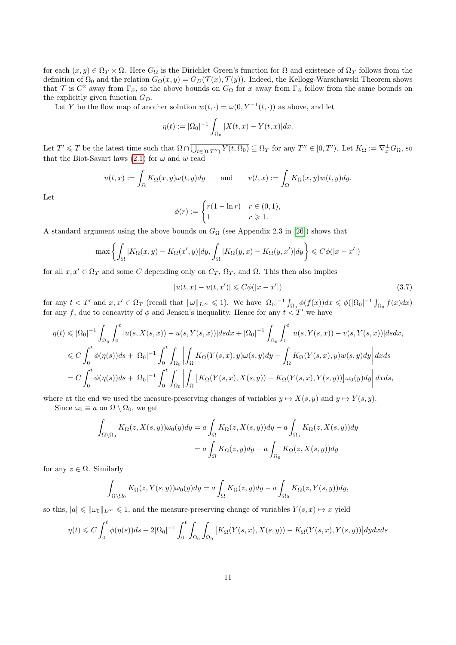for each  $(x, y) \in \Omega_T \times \Omega$ . Here  $G_{\Omega}$  is the Dirichlet Green's function for  $\Omega$  and existence of  $\Omega_T$  follows from the definition of  $\Omega_0$  and the relation  $G_\Omega(x, y) = G_D(\mathcal{T}(x), \mathcal{T}(y))$ . Indeed, the Kellogg-Warschawski Theorem shows that T is  $C^2$  away from  $\Gamma_{\tilde{\alpha}}$ , so the above bounds on  $G_{\Omega}$  for x away from  $\Gamma_{\tilde{\alpha}}$  follow from the same bounds on the explicitly given function  $G_D$ .

Let Y be the flow map of another solution  $w(t, \cdot) = \omega(0, Y^{-1}(t, \cdot))$  as above, and let

$$
\eta(t) := |\Omega_0|^{-1} \int_{\Omega_0} |X(t, x) - Y(t, x)| dx.
$$

Let  $T' \leq T$  be the latest time such that  $\Omega \cap \overline{\bigcup_{t \in [0,T'')} Y(t,\Omega_0)} \subseteq \Omega_T$  for any  $T'' \in [0,T')$ . Let  $K_{\Omega} := \nabla_x^{\perp} G_{\Omega}$ , so that the Biot-Savart laws [\(2.1\)](#page-4-0) for  $\omega$  and w read

$$
u(t,x) := \int_{\Omega} K_{\Omega}(x,y)\omega(t,y)dy \quad \text{and} \quad v(t,x) := \int_{\Omega} K_{\Omega}(x,y)w(t,y)dy.
$$

Let

$$
\phi(r) := \begin{cases} r(1 - \ln r) & r \in (0, 1), \\ 1 & r \geqslant 1. \end{cases}
$$

A standard argument using the above bounds on  $G_{\Omega}$  (see Appendix 2.3 in [\[26\]](#page-16-5)) shows that

$$
\max \left\{ \int_{\Omega} |K_{\Omega}(x, y) - K_{\Omega}(x', y)| dy, \int_{\Omega} |K_{\Omega}(y, x) - K_{\Omega}(y, x')| dy \right\} \leqslant C\phi(|x - x'|)
$$

for all  $x, x' \in \Omega_T$  and some C depending only on  $C_T$ ,  $\Omega_T$ , and  $\Omega$ . This then also implies

$$
|u(t, x) - u(t, x')| \leq C\phi(|x - x'|)
$$
\n(3.7)

for any  $t < T'$  and  $x, x' \in \Omega_T$  (recall that  $\|\omega\|_{L^\infty} \leq 1$ ). We have  $|\Omega_0|^{-1} \int_{\Omega_0} \phi(f(x)) dx \leq \phi(|\Omega_0|^{-1} \int_{\Omega_0} f(x) dx)$ for any f, due to concavity of  $\phi$  and Jensen's inequality. Hence for any  $t < T'$  we have

$$
\eta(t) \leqslant |\Omega_0|^{-1} \int_{\Omega_0} \int_0^t |u(s, X(s, x)) - u(s, Y(s, x))| ds dx + |\Omega_0|^{-1} \int_{\Omega_0} \int_0^t |u(s, Y(s, x)) - v(s, Y(s, x))| ds dx,
$$
  
\n
$$
\leqslant C \int_0^t \phi(\eta(s)) ds + |\Omega_0|^{-1} \int_0^t \int_{\Omega_0} \left| \int_{\Omega} K_{\Omega}(Y(s, x), y) \omega(s, y) dy - \int_{\Omega} K_{\Omega}(Y(s, x), y) w(s, y) dy \right| dx ds
$$
  
\n
$$
= C \int_0^t \phi(\eta(s)) ds + |\Omega_0|^{-1} \int_0^t \int_{\Omega_0} \left| \int_{\Omega} \left[ K_{\Omega}(Y(s, x), X(s, y)) - K_{\Omega}(Y(s, x), Y(s, y)) \right] \omega_0(y) dy \right| dx ds,
$$

where at the end we used the measure-preserving changes of variables  $y \mapsto X(s, y)$  and  $y \mapsto Y(s, y)$ .

Since  $\omega_0 \equiv a$  on  $\Omega \setminus \Omega_0$ , we get

$$
\int_{\Omega \setminus \Omega_0} K_{\Omega}(z, X(s, y)) \omega_0(y) dy = a \int_{\Omega} K_{\Omega}(z, X(s, y)) dy - a \int_{\Omega_0} K_{\Omega}(z, X(s, y)) dy
$$

$$
= a \int_{\Omega} K_{\Omega}(z, y) dy - a \int_{\Omega_0} K_{\Omega}(z, X(s, y)) dy
$$

for any  $z \in \Omega$ . Similarly

$$
\int_{\Omega\setminus\Omega_0} K_{\Omega}(z, Y(s, y))\omega_0(y)dy = a \int_{\Omega} K_{\Omega}(z, y)dy - a \int_{\Omega_0} K_{\Omega}(z, Y(s, y))dy,
$$

so this,  $|a| \leq ||\omega_0||_{L^{\infty}} \leq 1$ , and the measure-preserving change of variables  $Y(s, x) \mapsto x$  yield

$$
\eta(t) \leq C \int_0^t \phi(\eta(s))ds + 2|\Omega_0|^{-1} \int_0^t \int_{\Omega_0} \int_{\Omega_0} |K_{\Omega}(Y(s,x), X(s,y)) - K_{\Omega}(Y(s,x), Y(s,y))| dy dx ds
$$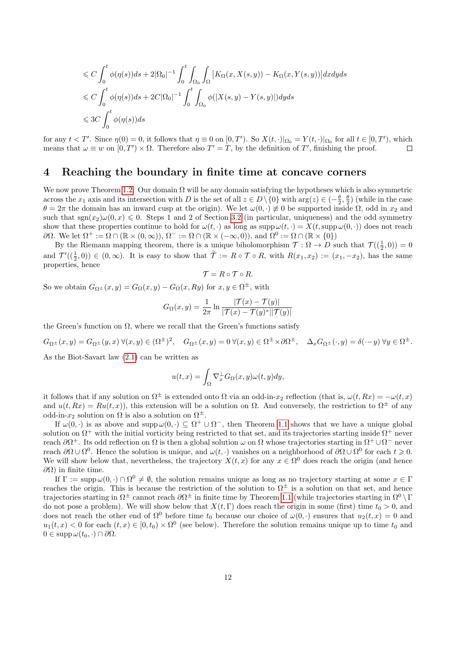$$
\leq C \int_0^t \phi(\eta(s))ds + 2|\Omega_0|^{-1} \int_0^t \int_{\Omega_0} \int_{\Omega} |K_{\Omega}(x, X(s, y)) - K_{\Omega}(x, Y(s, y))| dx dy ds
$$
  
\n
$$
\leq C \int_0^t \phi(\eta(s))ds + 2C|\Omega_0|^{-1} \int_0^t \int_{\Omega_0} \phi(|X(s, y) - Y(s, y)|) dy ds
$$
  
\n
$$
\leq 3C \int_0^t \phi(\eta(s))ds
$$

for any  $t < T'$ . Since  $\eta(0) = 0$ , it follows that  $\eta \equiv 0$  on  $[0, T')$ . So  $X(t, \cdot)|_{\Omega_0} = Y(t, \cdot)|_{\Omega_0}$  for all  $t \in [0, T')$ , which means that  $\omega \equiv w$  on  $[0, T') \times \Omega$ . Therefore also  $T' = T$ , by the definition of T', finishing the proof.  $\Box$ 

### <span id="page-11-0"></span>4 Reaching the boundary in finite time at concave corners

We now prove Theorem [1.2.](#page-3-0) Our domain  $\Omega$  will be any domain satisfying the hypotheses which is also symmetric across the  $x_1$  axis and its intersection with D is the set of all  $z \in D\setminus\{0\}$  with  $\arg(z) \in \left(-\frac{\theta}{2}, \frac{\theta}{2}\right)$  (while in the case  $\theta = 2\pi$  the domain has an inward cusp at the origin). We let  $\omega(0, \cdot) \neq 0$  be supported inside  $\Omega$ , odd in  $x_2$  and such that  $sgn(x_2)\omega(0, x) \leq 0$ . Steps 1 and 2 of Section [3.2](#page-7-0) (in particular, uniqueness) and the odd symmetry show that these properties continue to hold for  $\omega(t, \cdot)$  as long as supp  $\omega(t, \cdot) = X(t, \text{supp}\,\omega(0, \cdot))$  does not reach  $\partial\Omega$ . We let  $\Omega^+ := \overline{\Omega} \cap (\mathbb{R} \times (0, \infty)), \Omega^- := \overline{\Omega} \cap (\mathbb{R} \times (-\infty, 0)),$  and  $\Omega^0 := \overline{\Omega} \cap (\mathbb{R} \times \{0\})$ 

By the Riemann mapping theorem, there is a unique biholomorphism  $\mathcal{T} : \Omega \to D$  such that  $\mathcal{T}((\frac{1}{2},0)) = 0$ and  $\mathcal{T}'((\frac{1}{2},0)) \in (0,\infty)$ . It is easy to show that  $\widetilde{\mathcal{T}} := R \circ \mathcal{T} \circ R$ , with  $R(x_1,x_2) := (x_1, -x_2)$ , has the same properties, hence

$$
\mathcal{T} = R \circ \mathcal{T} \circ R.
$$

So we obtain  $G_{\Omega^{\pm}}(x, y) = G_{\Omega}(x, y) - G_{\Omega}(x, Ry)$  for  $x, y \in \Omega^{\pm}$ , with

$$
G_{\Omega}(x,y) = \frac{1}{2\pi} \ln \frac{|\mathcal{T}(x) - \mathcal{T}(y)|}{|\mathcal{T}(x) - \mathcal{T}(y)^*||\mathcal{T}(y)|}
$$

the Green's function on  $\Omega$ , where we recall that the Green's functions satisfy

$$
G_{\Omega^{\pm}}(x,y) = G_{\Omega^{\pm}}(y,x) \ \forall (x,y) \in (\Omega^{\pm})^2, \quad G_{\Omega^{\pm}}(x,y) = 0 \ \forall (x,y) \in \Omega^{\pm} \times \partial \Omega^{\pm}, \quad \Delta_x G_{\Omega^{\pm}}(\cdot,y) = \delta(\cdot-y) \ \forall y \in \Omega^{\pm}.
$$

As the Biot-Savart law [\(2.1\)](#page-4-0) can be written as

$$
u(t,x) = \int_{\Omega} \nabla_x^{\perp} G_{\Omega}(x,y) \omega(t,y) dy,
$$

it follows that if any solution on  $\Omega^{\pm}$  is extended onto  $\Omega$  via an odd-in- $x_2$  reflection (that is,  $\omega(t, Rx) = -\omega(t, x)$ and  $u(t, Rx) = Ru(t, x)$ , this extension will be a solution on  $\Omega$ . And conversely, the restriction to  $\Omega^{\pm}$  of any odd-in- $x_2$  solution on  $\Omega$  is also a solution on  $\Omega^{\pm}$ .

If  $\omega(0, \cdot)$  is as above and supp $\omega(0, \cdot) \subseteq \Omega^+ \cup \Omega^-$ , then Theorem [1.1](#page-3-2) shows that we have a unique global solution on  $\Omega^+$  with the initial vorticity being restricted to that set, and its trajectories starting inside  $\Omega^+$  never reach  $\partial\Omega^+$ . Its odd reflection on  $\Omega$  is then a global solution  $\omega$  on  $\Omega$  whose trajectories starting in  $\Omega^+\cup\Omega^-$  never reach  $\partial\Omega \cup \Omega^0$ . Hence the solution is unique, and  $\omega(t, \cdot)$  vanishes on a neighborhood of  $\partial\Omega \cup \Omega^0$  for each  $t \geq 0$ . We will show below that, nevertheless, the trajectory  $X(t, x)$  for any  $x \in \Omega^0$  does reach the origin (and hence  $\partial$ Ω) in finite time.

If  $\Gamma := \text{supp }\omega(0, \cdot) \cap \Omega^0 \neq \emptyset$ , the solution remains unique as long as no trajectory starting at some  $x \in \Gamma$ reaches the origin. This is because the restriction of the solution to  $\Omega^{\pm}$  is a solution on that set, and hence trajectories starting in  $\Omega^{\pm}$  cannot reach  $\partial\Omega^{\pm}$  in finite time by Theorem [1.1](#page-3-2) (while trajectories starting in  $\Omega^0 \setminus \Gamma$ do not pose a problem). We will show below that  $X(t, \Gamma)$  does reach the origin in some (first) time  $t_0 > 0$ , and does not reach the other end of  $\Omega^0$  before time  $t_0$  because our choice of  $\omega(0, \cdot)$  ensures that  $u_2(t, x) = 0$  and  $u_1(t,x) < 0$  for each  $(t,x) \in [0,t_0) \times \Omega^0$  (see below). Therefore the solution remains unique up to time  $t_0$  and  $0 \in \text{supp}\,\omega(t_0,\cdot) \cap \partial\Omega.$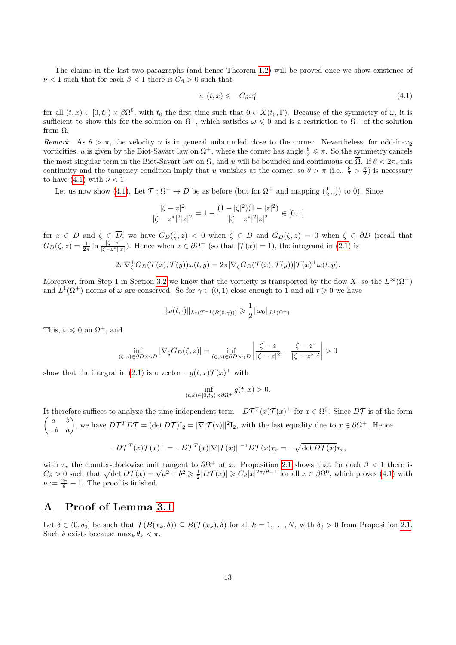The claims in the last two paragraphs (and hence Theorem [1.2\)](#page-3-0) will be proved once we show existence of  $\nu < 1$  such that for each  $\beta < 1$  there is  $C_{\beta} > 0$  such that

<span id="page-12-1"></span>
$$
u_1(t,x) \leqslant -C_{\beta} x_1^{\nu} \tag{4.1}
$$

for all  $(t, x) \in [0, t_0) \times \beta \Omega^0$ , with  $t_0$  the first time such that  $0 \in X(t_0, \Gamma)$ . Because of the symmetry of  $\omega$ , it is sufficient to show this for the solution on  $\Omega^+$ , which satisfies  $\omega \leq 0$  and is a restriction to  $\Omega^+$  of the solution from Ω.

Remark. As  $\theta > \pi$ , the velocity u is in general unbounded close to the corner. Nevertheless, for odd-in-x<sub>2</sub> vorticities, u is given by the Biot-Savart law on  $\Omega^+$ , where the corner has angle  $\frac{\theta}{2} \leq \pi$ . So the symmetry cancels the most singular term in the Biot-Savart law on  $\Omega$ , and u will be bounded and continuous on  $\overline{\Omega}$ . If  $\theta < 2\pi$ , this continuity and the tangency condition imply that u vanishes at the corner, so  $\theta > \pi$  (i.e.,  $\frac{\theta}{2} > \frac{\pi}{2}$ ) is necessary to have [\(4.1\)](#page-12-1) with  $\nu < 1$ .

Let us now show [\(4.1\)](#page-12-1). Let  $\mathcal{T} : \Omega^+ \to D$  be as before (but for  $\Omega^+$  and mapping  $(\frac{1}{2}, \frac{1}{2})$  to 0). Since

$$
\frac{|\zeta - z|^2}{|\zeta - z^*|^2 |z|^2} = 1 - \frac{(1 - |\zeta|^2)(1 - |z|^2)}{|\zeta - z^*|^2 |z|^2} \in [0, 1]
$$

for  $z \in D$  and  $\zeta \in D$ , we have  $G_D(\zeta, z) < 0$  when  $\zeta \in D$  and  $G_D(\zeta, z) = 0$  when  $\zeta \in \partial D$  (recall that  $G_D(\zeta, z) = \frac{1}{2\pi} \ln \frac{|\zeta - z|}{|\zeta - z^*||z|}$ . Hence when  $x \in \partial \Omega^+$  (so that  $|\mathcal{T}(x)| = 1$ ), the integrand in [\(2.1\)](#page-4-0) is

$$
2\pi \nabla_{\zeta}^{\perp} G_D(\mathcal{T}(x), \mathcal{T}(y)) \omega(t, y) = 2\pi |\nabla_{\zeta} G_D(\mathcal{T}(x), \mathcal{T}(y))| \mathcal{T}(x)^{\perp} \omega(t, y).
$$

Moreover, from Step 1 in Section [3.2](#page-7-0) we know that the vorticity is transported by the flow X, so the  $L^{\infty}(\Omega^+)$ and  $L^1(\Omega^+)$  norms of  $\omega$  are conserved. So for  $\gamma \in (0,1)$  close enough to 1 and all  $t \geq 0$  we have

$$
\|\omega(t,\cdot)\|_{L^1(\mathcal{T}^{-1}(B(0,\gamma)))} \geq \frac{1}{2}\|\omega_0\|_{L^1(\Omega^+)}.
$$

This,  $\omega \leq 0$  on  $\Omega^+$ , and

$$
\inf_{(\zeta,z)\in\partial D\times\gamma D} |\nabla_{\zeta}G_D(\zeta,z)| = \inf_{(\zeta,z)\in\partial D\times\gamma D} \left|\frac{\zeta-z}{|\zeta-z|^2}-\frac{\zeta-z^*}{|\zeta-z^*|^2}\right|>0
$$

show that the integral in [\(2.1\)](#page-4-0) is a vector  $-g(t,x)\mathcal{T}(x)^\perp$  with

$$
\inf_{(t,x)\in[0,t_0)\times\partial\Omega^+}g(t,x)>0.
$$

It therefore suffices to analyze the time-independent term  $-D\mathcal{T}^T(x)\mathcal{T}(x)^\perp$  for  $x \in \Omega^0$ . Since  $D\mathcal{T}$  is of the form  $\begin{pmatrix} a & b \\ -b & a \end{pmatrix}$ , we have  $DT^TDT = (\det DT)I_2 = |\nabla |\mathcal{T}(x)||^2I_2$ , with the last equality due to  $x \in \partial \Omega^+$ . Hence

$$
-D\mathcal{T}^T(x)\mathcal{T}(x)^{\perp} = -D\mathcal{T}^T(x)|\nabla|\mathcal{T}(x)||^{-1}D\mathcal{T}(x)\tau_x = -\sqrt{\det D\mathcal{T}(x)}\tau_x,
$$

with  $\tau_x$  the counter-clockwise unit tangent to  $\partial \Omega^+$  at x. Proposition [2.1](#page-4-1) shows that for each  $\beta < 1$  there is with  $\tau_x$  the counter-clockwise unit tangent to  $\partial \Omega^+$  at x. Proposition 2.1 shows that for each  $\beta < 1$  there is  $C_\beta > 0$  such that  $\sqrt{\det D\mathcal{T}(x)} = \sqrt{a^2 + b^2} \ge \frac{1}{2} |D\mathcal{T}(x)| \ge C_\beta |x|^{2\pi/\theta - 1}$  for all  $x \in \beta \Omega^0$ , w  $\nu := \frac{2\pi}{\theta} - 1$ . The proof is finished.

## <span id="page-12-0"></span>A Proof of Lemma [3.1](#page-7-3)

Let  $\delta \in (0, \delta_0]$  be such that  $\mathcal{T}(B(x_k, \delta)) \subseteq B(\mathcal{T}(x_k), \delta)$  for all  $k = 1, \ldots, N$ , with  $\delta_0 > 0$  from Proposition [2.1.](#page-4-1) Such  $\delta$  exists because  $\max_k \theta_k < \pi$ .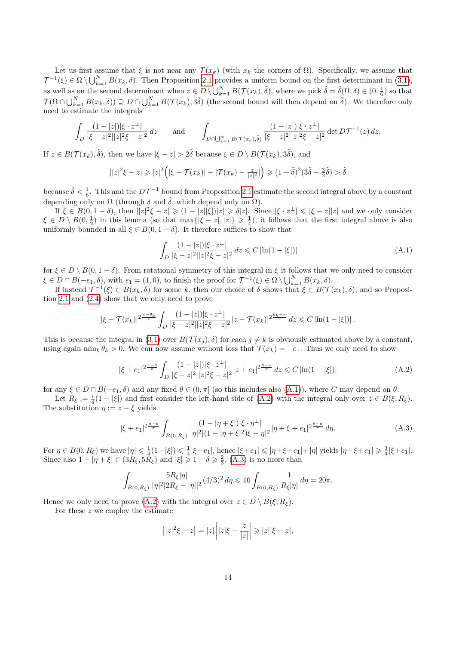Let us first assume that  $\xi$  is not near any  $\mathcal{T}(x_k)$  (with  $x_k$  the corners of  $\Omega$ ). Specifically, we assume that  $\mathcal{T}^{-1}(\xi) \in \Omega \setminus \bigcup_{k=1}^N B(x_k, \delta)$ . Then Proposition [2.1](#page-4-1) provides a uniform bound on the first determinant in [\(3.1\)](#page-7-4), as well as on the second determinant when  $z \in D \setminus \bigcup_{k=1}^N B(\mathcal{T}(x_k), \tilde{\delta})$ , where we pick  $\tilde{\delta} = \tilde{\delta}(\Omega, \delta) \in (0, \frac{1}{6})$  so that  $\mathcal{T}(\Omega \cap \bigcup_{k=1}^N B(x_k, \delta)) \supseteq D \cap \bigcup_{k=1}^N B(\mathcal{T}(x_k), 3\tilde{\delta})$  (the second bound will then depend on  $\tilde{\delta}$ ). We therefore only need to estimate the integrals

$$
\int_{D} \frac{(1-|z|)|\xi \cdot z^{\perp}|}{|\xi - z|^2 ||z|^2 \xi - z|^2} dz \quad \text{and} \quad \int_{D \cap \bigcup_{k=1}^{N} B(\mathcal{T}(x_k), \tilde{\delta})} \frac{(1-|z|)|\xi \cdot z^{\perp}|}{|\xi - z|^2 ||z|^2 \xi - z|^2} \det D\mathcal{T}^{-1}(z) dz.
$$

If  $z \in B(\mathcal{T}(x_k), \tilde{\delta})$ , then we have  $|\xi - z| > 2\tilde{\delta}$  because  $\xi \in D \setminus B(\mathcal{T}(x_k), 3\tilde{\delta})$ , and

$$
||z|^2\xi - z| \ge |z|^2 \Big(|\xi - \mathcal{T}(x_k)| - |\mathcal{T}(x_k) - \frac{z}{|z|^2}|\Big) \ge (1 - \tilde{\delta})^2 (3\tilde{\delta} - \frac{3}{2}\tilde{\delta}) > \tilde{\delta}
$$

because  $\tilde{\delta} < \frac{1}{6}$ . This and the  $D\mathcal{T}^{-1}$  bound from Proposition [2.1](#page-4-1) estimate the second integral above by a constant depending only on  $\Omega$  (through  $\delta$  and  $\tilde{\delta}$ , which depend only on  $\Omega$ ).

If  $\xi \in B(0, 1-\delta)$ , then  $||z|^2 \xi - z| \geq 1 - |z||\xi|| |z| \geq \delta |z|$ . Since  $|\xi \cdot z^{\perp}| \leq |\xi - z||z|$  and we only consider  $\xi \in D \setminus B(0, \frac{1}{2})$  in this lemma (so that  $\max\{|\xi - z|, |z|\} \geq \frac{1}{4}$ ), it follows that the first integral above is also uniformly bounded in all  $\xi \in B(0, 1 - \delta)$ . It therefore suffices to show that

<span id="page-13-0"></span>
$$
\int_{D} \frac{(1-|z|)|\xi \cdot z^{\perp}|}{|\xi - z|^2 ||z|^2 \xi - z|^2} dz \leq C \left| \ln(1 - |\xi|) \right| \tag{A.1}
$$

for  $\xi \in D \setminus B(0, 1 - \delta)$ . From rotational symmetry of this integral in  $\xi$  it follows that we only need to consider  $\xi \in D \cap B(-e_1, \delta)$ , with  $e_1 = (1, 0)$ , to finish the proof for  $\mathcal{T}^{-1}(\xi) \in \Omega \setminus \bigcup_{k=1}^N B(x_k, \delta)$ .

If instead  $\mathcal{T}^{-1}(\xi) \in B(x_k, \delta)$  for some k, then our choice of  $\delta$  shows that  $\xi \in B(\mathcal{T}(x_k), \delta)$ , and so Proposition [2.1](#page-4-1) and [\(2.4\)](#page-5-2) show that we only need to prove

$$
|\xi - \mathcal{T}(x_k)|^{2\frac{\pi - \theta_k}{\pi}} \int_D \frac{(1 - |z|) |\xi \cdot z^{\perp}|}{|\xi - z|^2 |z|^2 |\xi - z|^2} |z - \mathcal{T}(x_k)|^{2\frac{\theta_k - \pi}{\pi}} dz \leq C \left| \ln(1 - |\xi|) \right|.
$$

This is because the integral in [\(3.1\)](#page-7-4) over  $B(\mathcal{T}(x_i), \delta)$  for each  $j \neq k$  is obviously estimated above by a constant, using again min<sub>k</sub>  $\theta_k > 0$ . We can now assume without loss that  $\mathcal{T}(x_k) = -e_1$ . Thus we only need to show

<span id="page-13-1"></span>
$$
|\xi + e_1|^{2\frac{\pi-\theta}{\pi}} \int_D \frac{(1-|z|)|\xi \cdot z^\perp|}{|\xi - z|^2 ||z|^2 \xi - z|^2} |z + e_1|^{2\frac{\theta-\pi}{\pi}} dz \leq C \left| \ln(1-|\xi|) \right| \tag{A.2}
$$

for any  $\xi \in D \cap B(-e_1, \delta)$  and any fixed  $\theta \in (0, \pi]$  (so this includes also  $(A.1)$ ), where C may depend on  $\theta$ .

Let  $R_{\xi} := \frac{1}{4}(1 - |\xi|)$  and first consider the left-hand side of  $(A.2)$  with the integral only over  $z \in B(\xi, R_{\xi})$ . The substitution  $\eta := z - \xi$  yields

<span id="page-13-2"></span>
$$
|\xi + e_1|^{2\frac{\pi-\theta}{\pi}} \int_{B(0,R_{\xi})} \frac{(1-|\eta + \xi|)|\xi \cdot \eta^{\perp}|}{|\eta|^2 |(1-|\eta + \xi|^2)\xi + \eta|^2} |\eta + \xi + e_1|^{2\frac{\theta-\pi}{\pi}} d\eta. \tag{A.3}
$$

For  $\eta \in B(0, R_{\xi})$  we have  $|\eta| \leq \frac{1}{4}(1-|\xi|) \leq \frac{1}{4}|\xi + e_1|$ , hence  $|\xi + e_1| \leq |\eta + \xi + e_1| + |\eta|$  yields  $|\eta + \xi + e_1| \geq \frac{3}{4}|\xi + e_1|$ . Since also  $1 - |\eta + \xi| \in (3R_{\xi}, 5R_{\xi})$  and  $|\xi| \geq 1 - \delta \geq \frac{2}{3}$ , [\(A.3\)](#page-13-2) is no more than

$$
\int_{B(0,R_{\xi})} \frac{5R_{\xi}|\eta|}{|\eta|^{2}|2R_{\xi}-|\eta||^{2}} (4/3)^{2} d\eta \leq 10 \int_{B(0,R_{\xi})} \frac{1}{R_{\xi}|\eta|} d\eta = 20\pi.
$$

Hence we only need to prove [\(A.2\)](#page-13-1) with the integral over  $z \in D \setminus B(\xi, R_{\xi})$ .

For these z we employ the estimate

$$
||z|^2 \xi - z| = |z| \left| |z| \xi - \frac{z}{|z|} \right| \geq |z||\xi - z|,
$$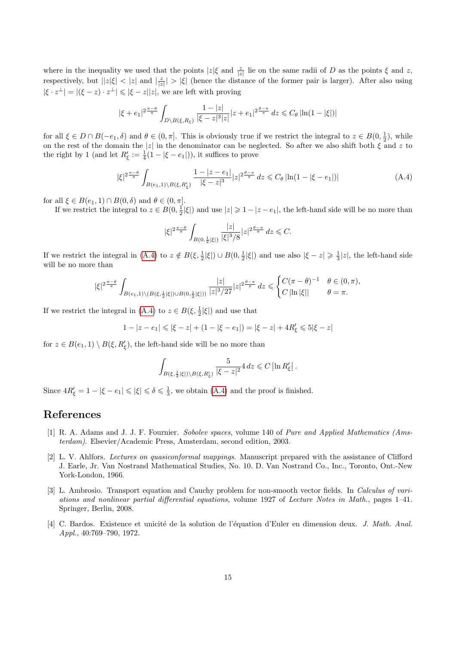where in the inequality we used that the points  $|z|\xi$  and  $\frac{z}{|z|}$  lie on the same radii of D as the points  $\xi$  and z, respectively, but  $||z|\xi| < |z|$  and  $|\frac{z}{|z|}| > |\xi|$  (hence the distance of the former pair is larger). After also using  $|\xi \cdot z^{\perp}| = |(\xi - z) \cdot z^{\perp}| \leq |\xi - z||z|$ , we are left with proving

$$
|\xi+e_1|^{2\frac{\pi-\theta}{\pi}}\int_{D\backslash B(\xi,R_\xi)}\frac{1-|z|}{|\xi-z|^3|z|}|z+e_1|^{2\frac{\theta-\pi}{\pi}}\,dz\leqslant C_\theta\left|\ln(1-|\xi|)\right|
$$

for all  $\xi \in D \cap B(-e_1, \delta)$  and  $\theta \in (0, \pi]$ . This is obviously true if we restrict the integral to  $z \in B(0, \frac{1}{2})$ , while on the rest of the domain the |z| in the denominator can be neglected. So after we also shift both  $\xi$  and z to the right by 1 (and let  $R'_\xi := \frac{1}{4}(1 - |\xi - e_1|)$ ), it suffices to prove

<span id="page-14-4"></span>
$$
|\xi|^{2\frac{\pi-\theta}{\pi}} \int_{B(e_1,1)\backslash B(\xi,R'_\xi)} \frac{1-|z-e_1|}{|\xi-z|^3} |z|^{2\frac{\theta-\pi}{\pi}} dz \leq C_\theta \left| \ln(1-|\xi-e_1|) \right| \tag{A.4}
$$

for all  $\xi \in B(e_1, 1) \cap B(0, \delta)$  and  $\theta \in (0, \pi]$ .

If we restrict the integral to  $z \in B(0, \frac{1}{2}|\xi|)$  and use  $|z| \geq 1 - |z - e_1|$ , the left-hand side will be no more than

$$
|\xi|^{2\frac{\pi-\theta}{\pi}}\int_{B(0,\frac{1}{2}|\xi|)}\frac{|z|}{|\xi|^{3}/8}|z|^{2\frac{\theta-\pi}{\pi}}\,dz\leqslant C.
$$

If we restrict the integral in [\(A.4\)](#page-14-4) to  $z \notin B(\xi, \frac{1}{2}|\xi|) \cup B(0, \frac{1}{2}|\xi|)$  and use also  $|\xi - z| \geq \frac{1}{3}|z|$ , the left-hand side will be no more than

$$
|\xi|^{2\frac{\pi-\theta}{\pi}}\int_{B(e_1,1)\setminus(B(\xi,\frac{1}{2}|\xi|)\cup B(0,\frac{1}{2}|\xi|))}\frac{|z|}{|z|^3/27}|z|^{2\frac{\theta-\pi}{\pi}}dz\leq \begin{cases}C(\pi-\theta)^{-1} & \theta\in(0,\pi),\\C\left|\ln|\xi|\right| & \theta=\pi.\end{cases}
$$

If we restrict the integral in [\(A.4\)](#page-14-4) to  $z \in B(\xi, \frac{1}{2}|\xi|)$  and use that

$$
1 - |z - e_1| \leq | \xi - z | + (1 - | \xi - e_1 | ) = | \xi - z | + 4R_{\xi}' \leq 5 | \xi - z |
$$

for  $z \in B(e_1, 1) \setminus B(\xi, R'_\xi)$ , the left-hand side will be no more than

$$
\int_{B(\xi,\frac{1}{2}|\xi|)\backslash B(\xi,R'_\xi)}\frac{5}{|\xi-z|^2}4\,dz\leqslant C\left|\ln R'_\xi\right|.
$$

Since  $4R'_\xi = 1 - |\xi - e_1| \leqslant |\xi| \leqslant \delta \leqslant \frac{1}{3}$ , we obtain  $(A.4)$  and the proof is finished.

## References

- <span id="page-14-2"></span>[1] R. A. Adams and J. J. F. Fournier. Sobolev spaces, volume 140 of Pure and Applied Mathematics (Amsterdam). Elsevier/Academic Press, Amsterdam, second edition, 2003.
- <span id="page-14-1"></span>[2] L. V. Ahlfors. Lectures on quasiconformal mappings. Manuscript prepared with the assistance of Clifford J. Earle, Jr. Van Nostrand Mathematical Studies, No. 10. D. Van Nostrand Co., Inc., Toronto, Ont.-New York-London, 1966.
- <span id="page-14-3"></span>[3] L. Ambrosio. Transport equation and Cauchy problem for non-smooth vector fields. In Calculus of variations and nonlinear partial differential equations, volume 1927 of Lecture Notes in Math., pages 1–41. Springer, Berlin, 2008.
- <span id="page-14-0"></span>[4] C. Bardos. Existence et unicité de la solution de l'équation d'Euler en dimension deux. J. Math. Anal. Appl., 40:769–790, 1972.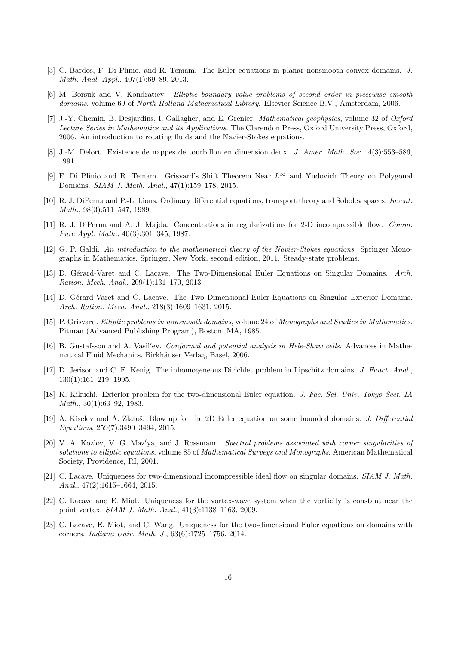- <span id="page-15-11"></span>[5] C. Bardos, F. Di Plinio, and R. Temam. The Euler equations in planar nonsmooth convex domains. J. Math. Anal. Appl., 407(1):69–89, 2013.
- <span id="page-15-8"></span>[6] M. Borsuk and V. Kondratiev. Elliptic boundary value problems of second order in piecewise smooth domains, volume 69 of North-Holland Mathematical Library. Elsevier Science B.V., Amsterdam, 2006.
- <span id="page-15-4"></span>[7] J.-Y. Chemin, B. Desjardins, I. Gallagher, and E. Grenier. Mathematical geophysics, volume 32 of Oxford Lecture Series in Mathematics and its Applications. The Clarendon Press, Oxford University Press, Oxford, 2006. An introduction to rotating fluids and the Navier-Stokes equations.
- <span id="page-15-2"></span>[8] J.-M. Delort. Existence de nappes de tourbillon en dimension deux. J. Amer. Math. Soc., 4(3):553–586, 1991.
- <span id="page-15-13"></span>[9] F. Di Plinio and R. Temam. Grisvard's Shift Theorem Near L<sup>∞</sup> and Yudovich Theory on Polygonal Domains. SIAM J. Math. Anal., 47(1):159–178, 2015.
- <span id="page-15-18"></span>[10] R. J. DiPerna and P.-L. Lions. Ordinary differential equations, transport theory and Sobolev spaces. Invent. Math., 98(3):511–547, 1989.
- <span id="page-15-1"></span>[11] R. J. DiPerna and A. J. Majda. Concentrations in regularizations for 2-D incompressible flow. Comm. Pure Appl. Math., 40(3):301–345, 1987.
- <span id="page-15-16"></span>[12] G. P. Galdi. An introduction to the mathematical theory of the Navier-Stokes equations. Springer Monographs in Mathematics. Springer, New York, second edition, 2011. Steady-state problems.
- <span id="page-15-5"></span>[13] D. Gérard-Varet and C. Lacave. The Two-Dimensional Euler Equations on Singular Domains. Arch. Ration. Mech. Anal., 209(1):131–170, 2013.
- <span id="page-15-6"></span>[14] D. Gérard-Varet and C. Lacave. The Two Dimensional Euler Equations on Singular Exterior Domains. Arch. Ration. Mech. Anal., 218(3):1609–1631, 2015.
- <span id="page-15-9"></span>[15] P. Grisvard. Elliptic problems in nonsmooth domains, volume 24 of Monographs and Studies in Mathematics. Pitman (Advanced Publishing Program), Boston, MA, 1985.
- <span id="page-15-17"></span>[16] B. Gustafsson and A. Vasil'ev. Conformal and potential analysis in Hele-Shaw cells. Advances in Mathematical Fluid Mechanics. Birkhäuser Verlag, Basel, 2006.
- <span id="page-15-3"></span>[17] D. Jerison and C. E. Kenig. The inhomogeneous Dirichlet problem in Lipschitz domains. J. Funct. Anal., 130(1):161–219, 1995.
- <span id="page-15-0"></span>[18] K. Kikuchi. Exterior problem for the two-dimensional Euler equation. J. Fac. Sci. Univ. Tokyo Sect. IA Math., 30(1):63–92, 1983.
- <span id="page-15-15"></span>[19] A. Kiselev and A. Zlatoš. Blow up for the 2D Euler equation on some bounded domains. J. Differential Equations, 259(7):3490–3494, 2015.
- <span id="page-15-10"></span>[20] V. A. Kozlov, V. G. Maz'ya, and J. Rossmann. Spectral problems associated with corner singularities of solutions to elliptic equations, volume 85 of *Mathematical Surveys and Monographs*. American Mathematical Society, Providence, RI, 2001.
- <span id="page-15-14"></span>[21] C. Lacave. Uniqueness for two-dimensional incompressible ideal flow on singular domains. SIAM J. Math. Anal., 47(2):1615–1664, 2015.
- <span id="page-15-7"></span>[22] C. Lacave and E. Miot. Uniqueness for the vortex-wave system when the vorticity is constant near the point vortex. SIAM J. Math. Anal., 41(3):1138–1163, 2009.
- <span id="page-15-12"></span>[23] C. Lacave, E. Miot, and C. Wang. Uniqueness for the two-dimensional Euler equations on domains with corners. Indiana Univ. Math. J., 63(6):1725–1756, 2014.